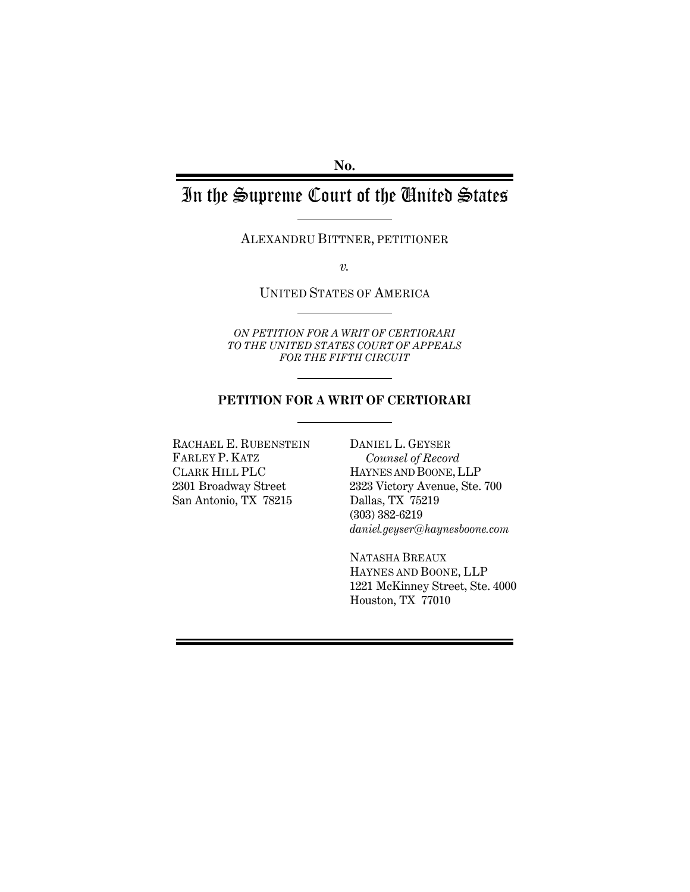**No.** 

# In the Supreme Court of the United States

ALEXANDRU BITTNER, PETITIONER

*v.* 

### UNITED STATES OF AMERICA

*ON PETITION FOR A WRIT OF CERTIORARI TO THE UNITED STATES COURT OF APPEALS FOR THE FIFTH CIRCUIT* 

#### **PETITION FOR A WRIT OF CERTIORARI**

RACHAEL E. RUBENSTEIN FARLEY P. KATZ CLARK HILL PLC 2301 Broadway Street San Antonio, TX 78215

DANIEL L. GEYSER *Counsel of Record*  HAYNES AND BOONE, LLP 2323 Victory Avenue, Ste. 700 Dallas, TX 75219 (303) 382-6219 *daniel.geyser@haynesboone.com* 

NATASHA BREAUX HAYNES AND BOONE, LLP 1221 McKinney Street, Ste. 4000 Houston, TX 77010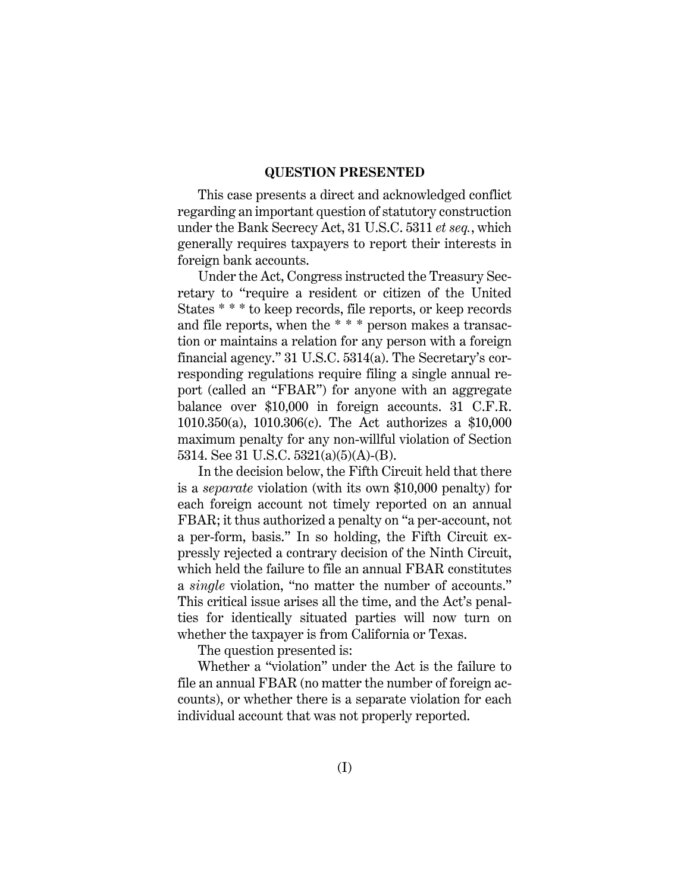#### **QUESTION PRESENTED**

This case presents a direct and acknowledged conflict regarding an important question of statutory construction under the Bank Secrecy Act, 31 U.S.C. 5311 *et seq.*, which generally requires taxpayers to report their interests in foreign bank accounts.

Under the Act, Congress instructed the Treasury Secretary to "require a resident or citizen of the United States \* \* \* to keep records, file reports, or keep records and file reports, when the \* \* \* person makes a transaction or maintains a relation for any person with a foreign financial agency." 31 U.S.C. 5314(a). The Secretary's corresponding regulations require filing a single annual report (called an "FBAR") for anyone with an aggregate balance over \$10,000 in foreign accounts. 31 C.F.R. 1010.350(a), 1010.306(c). The Act authorizes a \$10,000 maximum penalty for any non-willful violation of Section 5314. See 31 U.S.C. 5321(a)(5)(A)-(B).

In the decision below, the Fifth Circuit held that there is a *separate* violation (with its own \$10,000 penalty) for each foreign account not timely reported on an annual FBAR; it thus authorized a penalty on "a per-account, not a per-form, basis." In so holding, the Fifth Circuit expressly rejected a contrary decision of the Ninth Circuit, which held the failure to file an annual FBAR constitutes a *single* violation, "no matter the number of accounts." This critical issue arises all the time, and the Act's penalties for identically situated parties will now turn on whether the taxpayer is from California or Texas.

The question presented is:

Whether a "violation" under the Act is the failure to file an annual FBAR (no matter the number of foreign accounts), or whether there is a separate violation for each individual account that was not properly reported.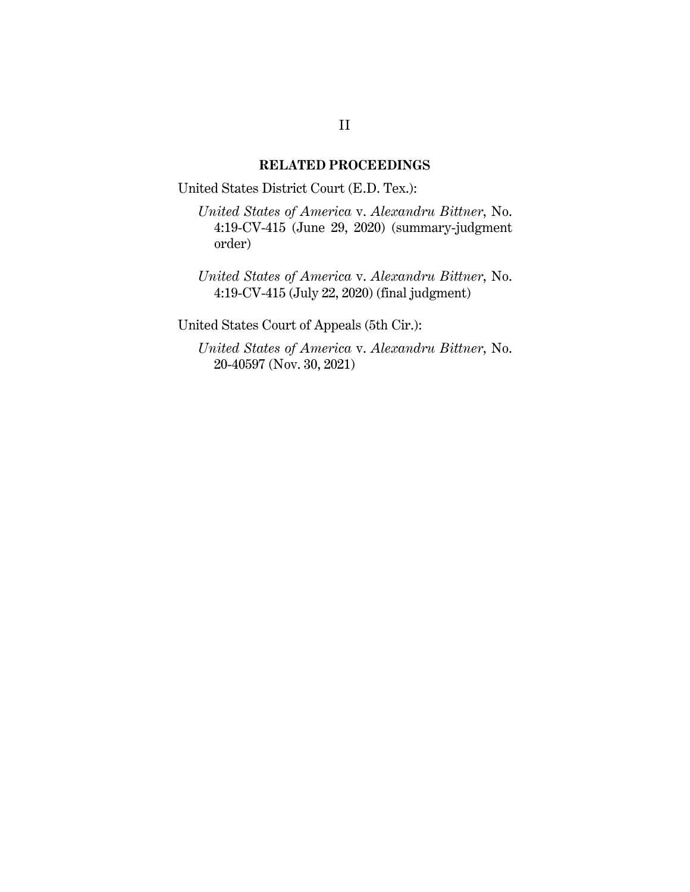#### **RELATED PROCEEDINGS**

United States District Court (E.D. Tex.):

*United States of America* v. *Alexandru Bittner*, No. 4:19-CV-415 (June 29, 2020) (summary-judgment order)

*United States of America* v. *Alexandru Bittner*, No. 4:19-CV-415 (July 22, 2020) (final judgment)

United States Court of Appeals (5th Cir.):

*United States of America* v. *Alexandru Bittner*, No. 20-40597 (Nov. 30, 2021)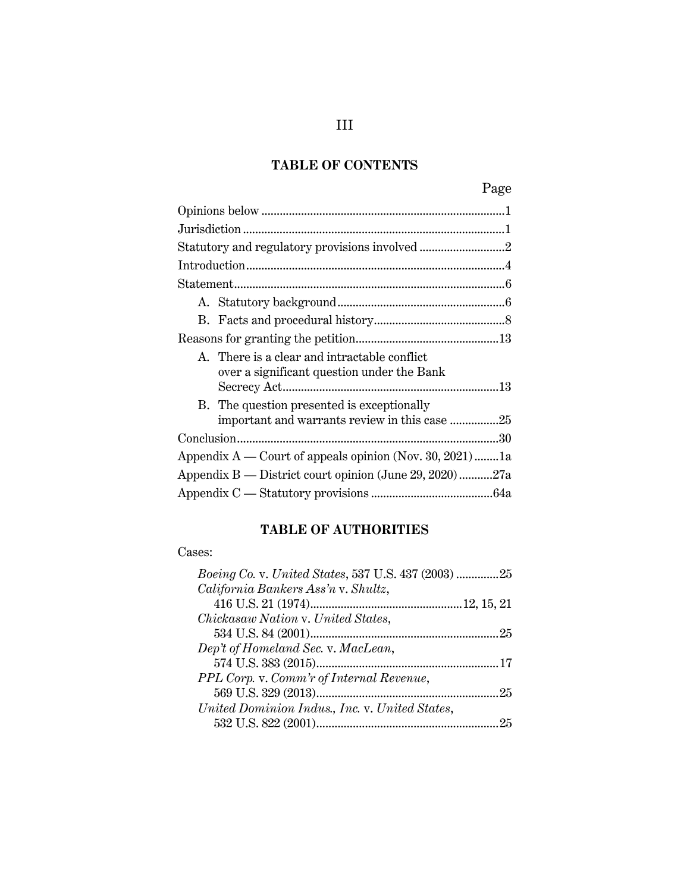# **TABLE OF CONTENTS**

|--|

|                                                            | A. There is a clear and intractable conflict.<br>over a significant question under the Bank |
|------------------------------------------------------------|---------------------------------------------------------------------------------------------|
|                                                            | B. The question presented is exceptionally<br>important and warrants review in this case 25 |
|                                                            |                                                                                             |
| Appendix $A$ — Court of appeals opinion (Nov. 30, 2021) 1a |                                                                                             |
| Appendix B — District court opinion (June 29, 2020)27a     |                                                                                             |
|                                                            |                                                                                             |

# **TABLE OF AUTHORITIES**

## Cases:

| Boeing Co. v. United States, 537 U.S. 437 (2003) 25 |  |
|-----------------------------------------------------|--|
| California Bankers Ass'n v. Shultz,                 |  |
|                                                     |  |
| Chickasaw Nation v. United States,                  |  |
|                                                     |  |
| Dep't of Homeland Sec. v. MacLean,                  |  |
|                                                     |  |
| PPL Corp. v. Comm'r of Internal Revenue,            |  |
|                                                     |  |
| United Dominion Indus., Inc. v. United States,      |  |
| .25                                                 |  |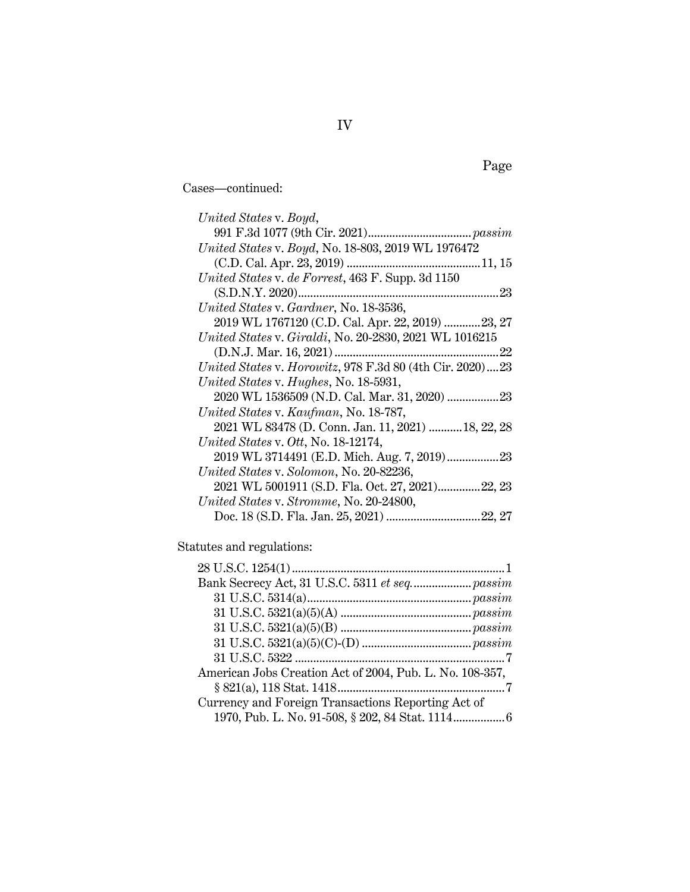Cases—continued:

| United States v. Boyd,                                   |
|----------------------------------------------------------|
|                                                          |
| United States v. Boyd, No. 18-803, 2019 WL 1976472       |
|                                                          |
| United States v. de Forrest, 463 F. Supp. 3d 1150        |
|                                                          |
| United States v. Gardner, No. 18-3536,                   |
| 2019 WL 1767120 (C.D. Cal. Apr. 22, 2019) 23, 27         |
| United States v. Giraldi, No. 20-2830, 2021 WL 1016215   |
|                                                          |
| United States v. Horowitz, 978 F.3d 80 (4th Cir. 2020)23 |
| United States v. Hughes, No. 18-5931,                    |
| 2020 WL 1536509 (N.D. Cal. Mar. 31, 2020)  23            |
| United States v. Kaufman, No. 18-787,                    |
| 2021 WL 83478 (D. Conn. Jan. 11, 2021)  18, 22, 28       |
| United States v. Ott, No. 18-12174,                      |
|                                                          |
| United States v. Solomon, No. 20-82236,                  |
| 2021 WL 5001911 (S.D. Fla. Oct. 27, 2021)22, 23          |
| United States v. Stromme, No. 20-24800,                  |
|                                                          |

Statutes and regulations:

| Bank Secrecy Act, 31 U.S.C. 5311 et seq passim           |
|----------------------------------------------------------|
|                                                          |
|                                                          |
|                                                          |
|                                                          |
|                                                          |
| American Jobs Creation Act of 2004, Pub. L. No. 108-357, |
|                                                          |
| Currency and Foreign Transactions Reporting Act of       |
| 1970, Pub. L. No. 91-508, § 202, 84 Stat. 1114 6         |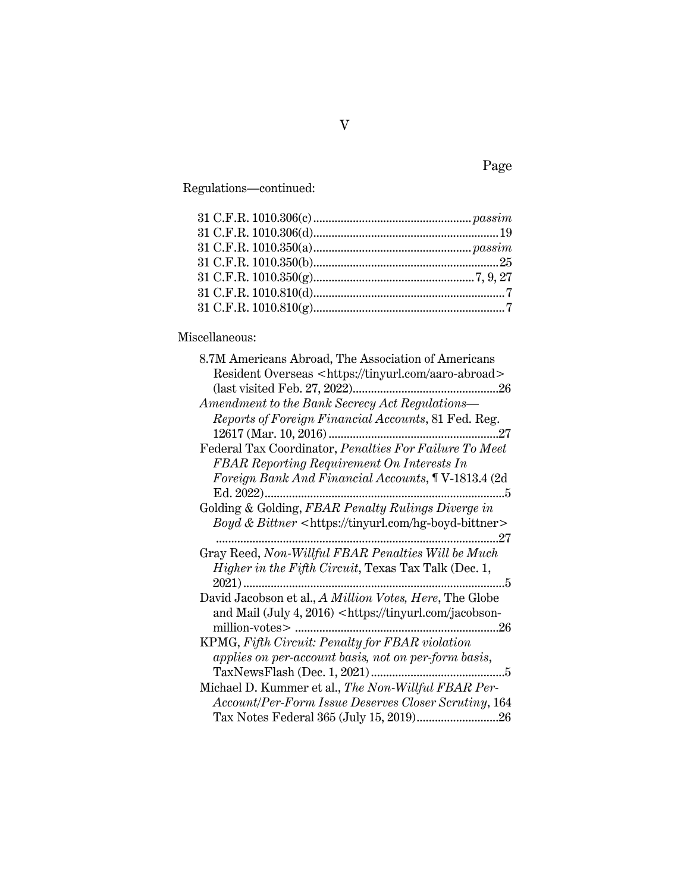Regulations—continued:

# Miscellaneous:

| 8.7M Americans Abroad, The Association of Americans                          |
|------------------------------------------------------------------------------|
| Resident Overseas <https: aaro-abroad="" tinyurl.com=""></https:>            |
|                                                                              |
| Amendment to the Bank Secrecy Act Regulations-                               |
| Reports of Foreign Financial Accounts, 81 Fed. Reg.                          |
|                                                                              |
| Federal Tax Coordinator, Penalties For Failure To Meet                       |
| <b>FBAR Reporting Requirement On Interests In</b>                            |
| Foreign Bank And Financial Accounts, ¶ V-1813.4 (2d)                         |
| . 5                                                                          |
| Golding & Golding, FBAR Penalty Rulings Diverge in                           |
| Boyd & Bittner <https: hg-boyd-bittner="" tinyurl.com=""></https:>           |
| $\ldots 27$                                                                  |
| Gray Reed, Non-Willful FBAR Penalties Will be Much                           |
| Higher in the Fifth Circuit, Texas Tax Talk (Dec. 1,                         |
| 2021)<br>. 5                                                                 |
| David Jacobson et al., A Million Votes, Here, The Globe                      |
| and Mail (July 4, 2016) <https: jacobson-<="" td="" tinyurl.com=""></https:> |
| 26                                                                           |
| KPMG, Fifth Circuit: Penalty for FBAR violation                              |
| applies on per-account basis, not on per-form basis,                         |
| 5                                                                            |
| Michael D. Kummer et al., The Non-Willful FBAR Per-                          |
| Account/Per-Form Issue Deserves Closer Scrutiny, 164                         |
|                                                                              |

Page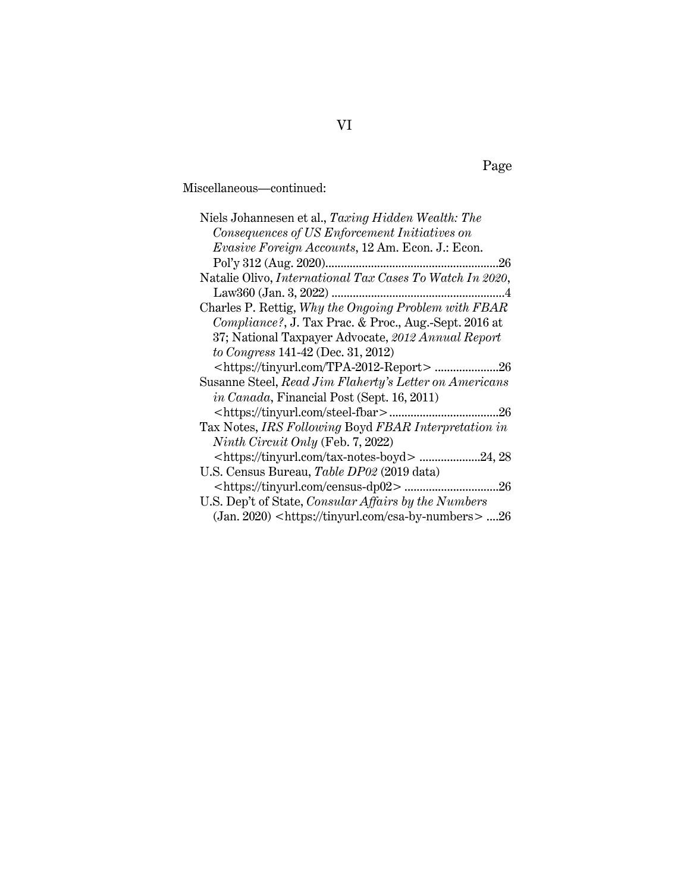Miscellaneous—continued:

| Niels Johannesen et al., Taxing Hidden Wealth: The                |
|-------------------------------------------------------------------|
| Consequences of US Enforcement Initiatives on                     |
| Evasive Foreign Accounts, 12 Am. Econ. J.: Econ.                  |
| .26                                                               |
| Natalie Olivo, International Tax Cases To Watch In 2020,          |
|                                                                   |
| Charles P. Rettig, Why the Ongoing Problem with FBAR              |
| Compliance?, J. Tax Prac. & Proc., Aug.-Sept. 2016 at             |
| 37; National Taxpayer Advocate, 2012 Annual Report                |
| to Congress 141-42 (Dec. 31, 2012)                                |
|                                                                   |
| Susanne Steel, Read Jim Flaherty's Letter on Americans            |
| <i>in Canada</i> , Financial Post (Sept. 16, 2011)                |
|                                                                   |
| Tax Notes, IRS Following Boyd FBAR Interpretation in              |
| Ninth Circuit Only (Feb. 7, 2022)                                 |
| .24, 28                                                           |
| U.S. Census Bureau, Table DP02 (2019 data)                        |
|                                                                   |
| U.S. Dep't of State, <i>Consular Affairs by the Numbers</i>       |
| (Jan. 2020) <https: csa-by-numbers="" tinyurl.com=""> 26</https:> |

# Page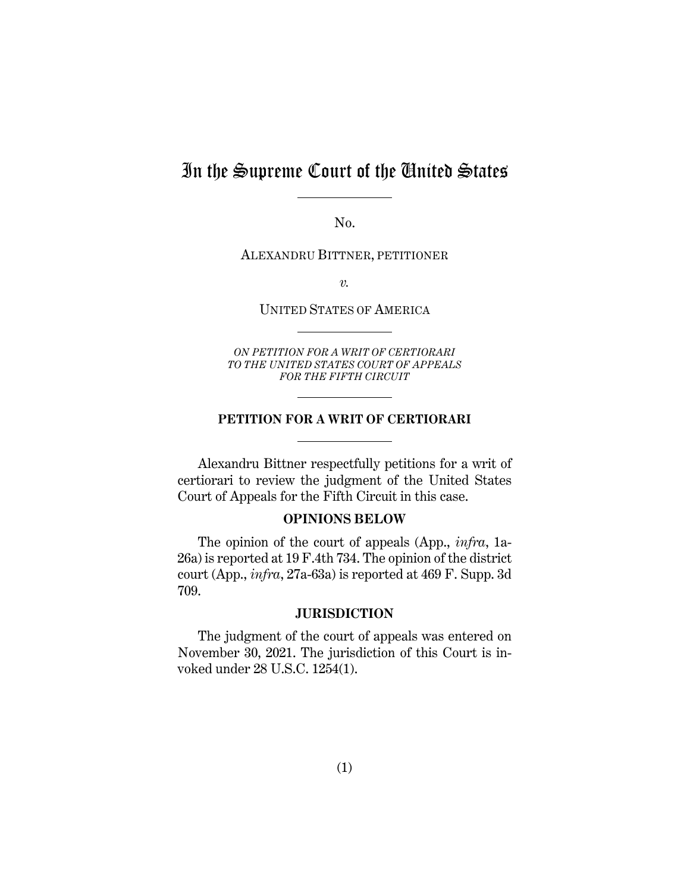# In the Supreme Court of the United States

No.

ALEXANDRU BITTNER, PETITIONER

*v.* 

UNITED STATES OF AMERICA

*ON PETITION FOR A WRIT OF CERTIORARI TO THE UNITED STATES COURT OF APPEALS FOR THE FIFTH CIRCUIT* 

#### **PETITION FOR A WRIT OF CERTIORARI**

Alexandru Bittner respectfully petitions for a writ of certiorari to review the judgment of the United States Court of Appeals for the Fifth Circuit in this case.

## **OPINIONS BELOW**

The opinion of the court of appeals (App., *infra*, 1a-26a) is reported at 19 F.4th 734. The opinion of the district court (App., *infra*, 27a-63a) is reported at 469 F. Supp. 3d 709.

### **JURISDICTION**

The judgment of the court of appeals was entered on November 30, 2021. The jurisdiction of this Court is invoked under 28 U.S.C. 1254(1).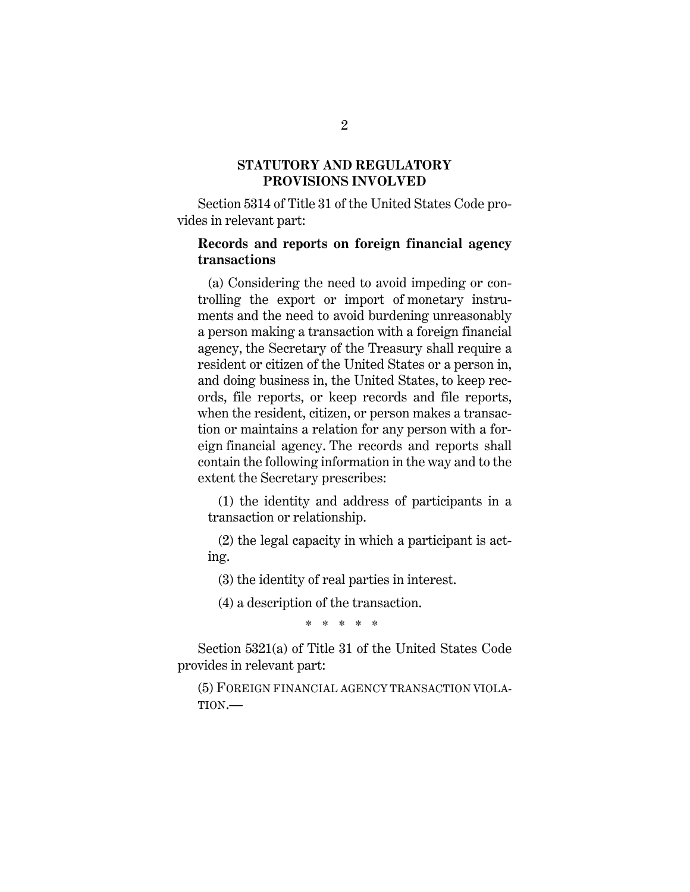## **STATUTORY AND REGULATORY PROVISIONS INVOLVED**

Section 5314 of Title 31 of the United States Code provides in relevant part:

## **Records and reports on foreign financial agency transactions**

 (a) Considering the need to avoid impeding or controlling the export or import of monetary instruments and the need to avoid burdening unreasonably a person making a transaction with a foreign financial agency, the Secretary of the Treasury shall require a resident or citizen of the United States or a person in, and doing business in, the United States, to keep records, file reports, or keep records and file reports, when the resident, citizen, or person makes a transaction or maintains a relation for any person with a foreign financial agency. The records and reports shall contain the following information in the way and to the extent the Secretary prescribes:

 (1) the identity and address of participants in a transaction or relationship.

 (2) the legal capacity in which a participant is acting.

(3) the identity of real parties in interest.

(4) a description of the transaction.

\* \* \* \* \*

Section 5321(a) of Title 31 of the United States Code provides in relevant part:

(5) FOREIGN FINANCIAL AGENCY TRANSACTION VIOLA-TION.—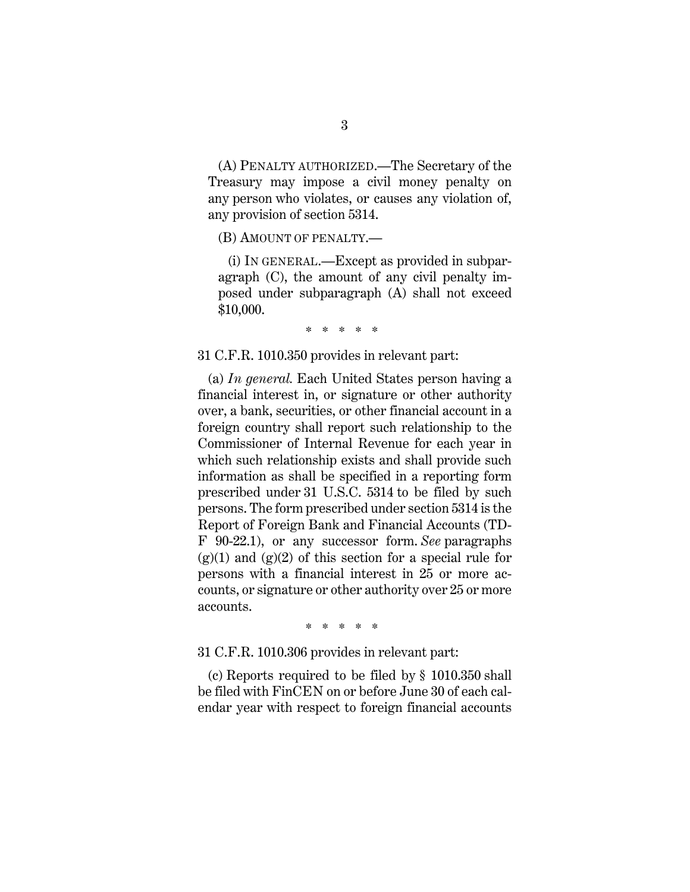(A) PENALTY AUTHORIZED.—The Secretary of the Treasury may impose a civil money penalty on any person who violates, or causes any violation of, any provision of section 5314.

(B) AMOUNT OF PENALTY.—

 (i) IN GENERAL.—Except as provided in subparagraph (C), the amount of any civil penalty imposed under subparagraph (A) shall not exceed \$10,000.

\* \* \* \* \*

31 C.F.R. 1010.350 provides in relevant part:

 (a) *In general.* Each United States person having a financial interest in, or signature or other authority over, a bank, securities, or other financial account in a foreign country shall report such relationship to the Commissioner of Internal Revenue for each year in which such relationship exists and shall provide such information as shall be specified in a reporting form prescribed under 31 U.S.C. 5314 to be filed by such persons. The form prescribed under section 5314 is the Report of Foreign Bank and Financial Accounts (TD-F 90-22.1), or any successor form. *See* paragraphs  $(g)(1)$  and  $(g)(2)$  of this section for a special rule for persons with a financial interest in 25 or more accounts, or signature or other authority over 25 or more accounts.

\* \* \* \* \*

31 C.F.R. 1010.306 provides in relevant part:

 (c) Reports required to be filed by § 1010.350 shall be filed with FinCEN on or before June 30 of each calendar year with respect to foreign financial accounts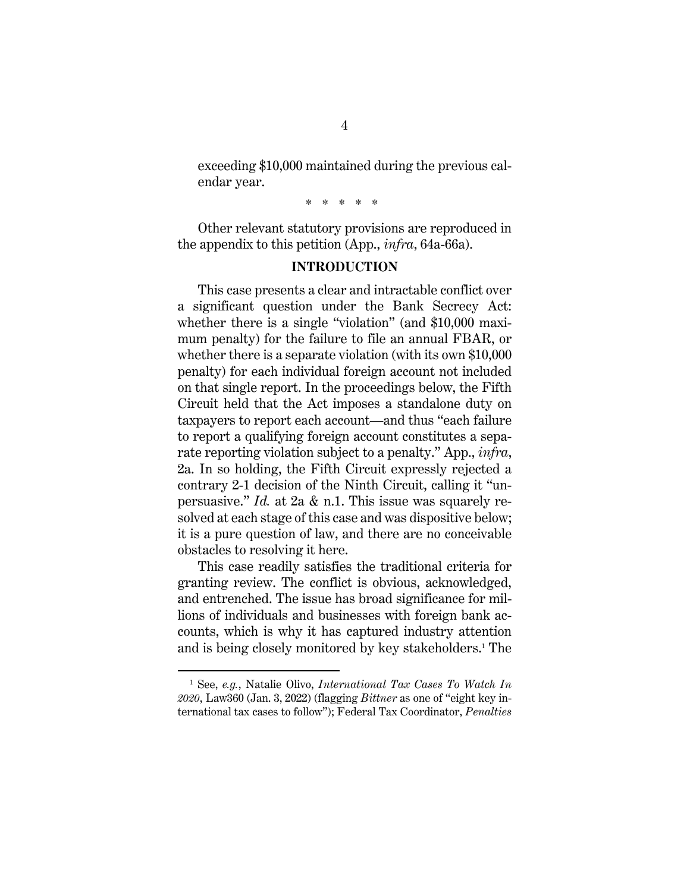exceeding \$10,000 maintained during the previous calendar year.

\* \* \* \* \*

Other relevant statutory provisions are reproduced in the appendix to this petition (App., *infra*, 64a-66a).

#### **INTRODUCTION**

This case presents a clear and intractable conflict over a significant question under the Bank Secrecy Act: whether there is a single "violation" (and \$10,000 maximum penalty) for the failure to file an annual FBAR, or whether there is a separate violation (with its own \$10,000 penalty) for each individual foreign account not included on that single report. In the proceedings below, the Fifth Circuit held that the Act imposes a standalone duty on taxpayers to report each account—and thus "each failure to report a qualifying foreign account constitutes a separate reporting violation subject to a penalty." App., *infra*, 2a. In so holding, the Fifth Circuit expressly rejected a contrary 2-1 decision of the Ninth Circuit, calling it "unpersuasive." *Id.* at 2a & n.1. This issue was squarely resolved at each stage of this case and was dispositive below; it is a pure question of law, and there are no conceivable obstacles to resolving it here.

This case readily satisfies the traditional criteria for granting review. The conflict is obvious, acknowledged, and entrenched. The issue has broad significance for millions of individuals and businesses with foreign bank accounts, which is why it has captured industry attention and is being closely monitored by key stakeholders.1 The

<sup>1</sup> See, *e.g.*, Natalie Olivo, *International Tax Cases To Watch In 2020*, Law360 (Jan. 3, 2022) (flagging *Bittner* as one of "eight key international tax cases to follow"); Federal Tax Coordinator, *Penalties*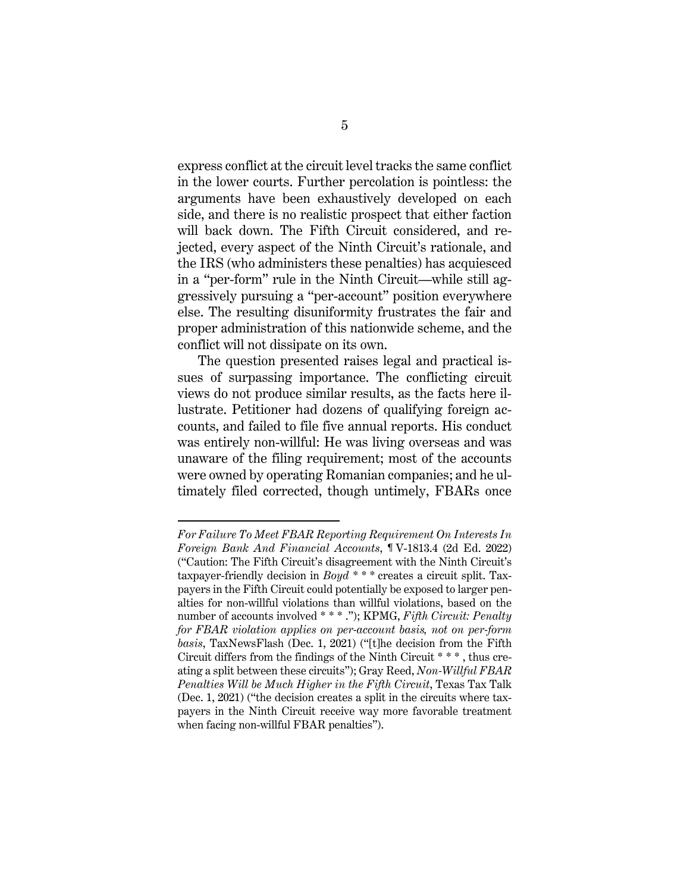express conflict at the circuit level tracks the same conflict in the lower courts. Further percolation is pointless: the arguments have been exhaustively developed on each side, and there is no realistic prospect that either faction will back down. The Fifth Circuit considered, and rejected, every aspect of the Ninth Circuit's rationale, and the IRS (who administers these penalties) has acquiesced in a "per-form" rule in the Ninth Circuit—while still aggressively pursuing a "per-account" position everywhere else. The resulting disuniformity frustrates the fair and proper administration of this nationwide scheme, and the conflict will not dissipate on its own.

The question presented raises legal and practical issues of surpassing importance. The conflicting circuit views do not produce similar results, as the facts here illustrate. Petitioner had dozens of qualifying foreign accounts, and failed to file five annual reports. His conduct was entirely non-willful: He was living overseas and was unaware of the filing requirement; most of the accounts were owned by operating Romanian companies; and he ultimately filed corrected, though untimely, FBARs once

*For Failure To Meet FBAR Reporting Requirement On Interests In Foreign Bank And Financial Accounts*, ¶ V-1813.4 (2d Ed. 2022) ("Caution: The Fifth Circuit's disagreement with the Ninth Circuit's taxpayer-friendly decision in *Boyd* \* \* \* creates a circuit split. Taxpayers in the Fifth Circuit could potentially be exposed to larger penalties for non-willful violations than willful violations, based on the number of accounts involved \* \* \* ."); KPMG, *Fifth Circuit: Penalty for FBAR violation applies on per-account basis, not on per-form basis*, TaxNewsFlash (Dec. 1, 2021) ("[t]he decision from the Fifth Circuit differs from the findings of the Ninth Circuit \* \* \* , thus creating a split between these circuits"); Gray Reed, *Non-Willful FBAR Penalties Will be Much Higher in the Fifth Circuit*, Texas Tax Talk (Dec. 1, 2021) ("the decision creates a split in the circuits where taxpayers in the Ninth Circuit receive way more favorable treatment when facing non-willful FBAR penalties").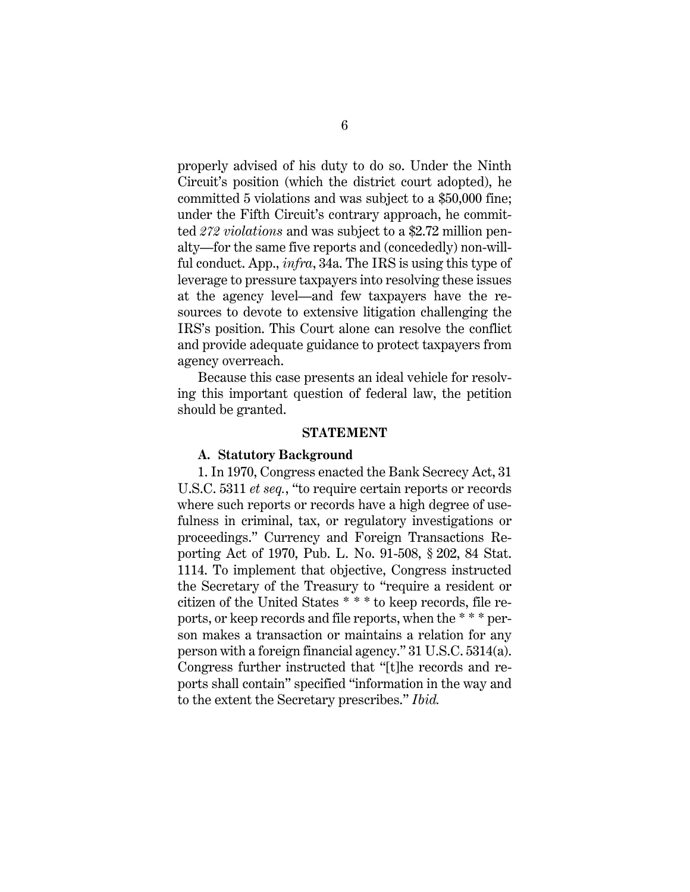properly advised of his duty to do so. Under the Ninth Circuit's position (which the district court adopted), he committed 5 violations and was subject to a \$50,000 fine; under the Fifth Circuit's contrary approach, he committed *272 violations* and was subject to a \$2.72 million penalty—for the same five reports and (concededly) non-willful conduct. App., *infra*, 34a. The IRS is using this type of leverage to pressure taxpayers into resolving these issues at the agency level—and few taxpayers have the resources to devote to extensive litigation challenging the IRS's position. This Court alone can resolve the conflict and provide adequate guidance to protect taxpayers from agency overreach.

Because this case presents an ideal vehicle for resolving this important question of federal law, the petition should be granted.

#### **STATEMENT**

#### **A. Statutory Background**

1. In 1970, Congress enacted the Bank Secrecy Act, 31 U.S.C. 5311 *et seq.*, "to require certain reports or records where such reports or records have a high degree of usefulness in criminal, tax, or regulatory investigations or proceedings." Currency and Foreign Transactions Reporting Act of 1970, Pub. L. No. 91-508, § 202, 84 Stat. 1114. To implement that objective, Congress instructed the Secretary of the Treasury to "require a resident or citizen of the United States \* \* \* to keep records, file reports, or keep records and file reports, when the \* \* \* person makes a transaction or maintains a relation for any person with a foreign financial agency." 31 U.S.C. 5314(a). Congress further instructed that "[t]he records and reports shall contain" specified "information in the way and to the extent the Secretary prescribes." *Ibid.*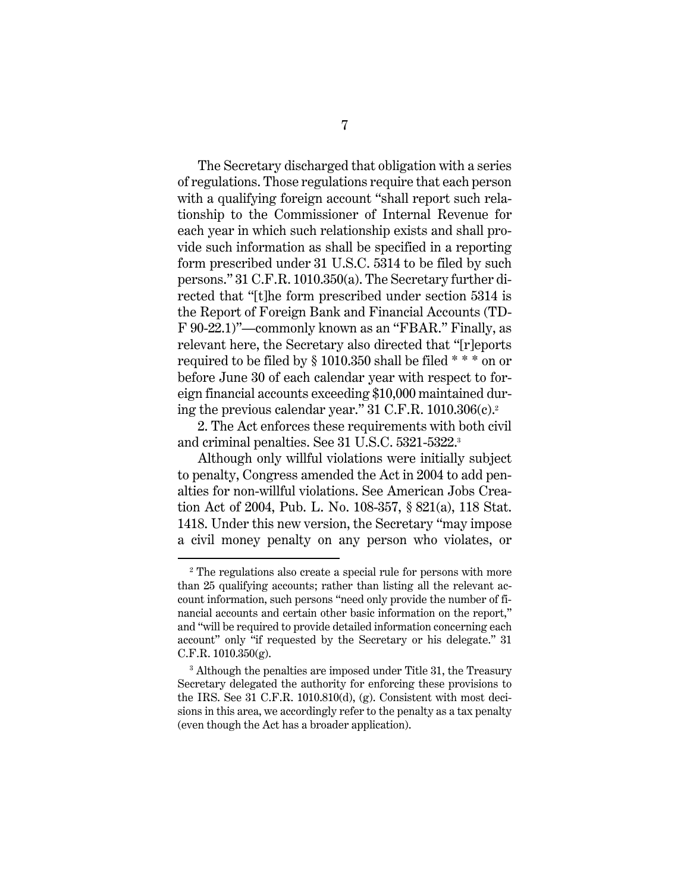The Secretary discharged that obligation with a series of regulations. Those regulations require that each person with a qualifying foreign account "shall report such relationship to the Commissioner of Internal Revenue for each year in which such relationship exists and shall provide such information as shall be specified in a reporting form prescribed under 31 U.S.C. 5314 to be filed by such persons." 31 C.F.R. 1010.350(a). The Secretary further directed that "[t]he form prescribed under section 5314 is the Report of Foreign Bank and Financial Accounts (TD-F 90-22.1)"—commonly known as an "FBAR." Finally, as relevant here, the Secretary also directed that "[r]eports required to be filed by § 1010.350 shall be filed \* \* \* on or before June 30 of each calendar year with respect to foreign financial accounts exceeding \$10,000 maintained during the previous calendar year." 31 C.F.R. 1010.306(c).2

2. The Act enforces these requirements with both civil and criminal penalties. See 31 U.S.C. 5321-5322.3

Although only willful violations were initially subject to penalty, Congress amended the Act in 2004 to add penalties for non-willful violations. See American Jobs Creation Act of 2004, Pub. L. No. 108-357, § 821(a), 118 Stat. 1418. Under this new version, the Secretary "may impose a civil money penalty on any person who violates, or

<sup>2</sup> The regulations also create a special rule for persons with more than 25 qualifying accounts; rather than listing all the relevant account information, such persons "need only provide the number of financial accounts and certain other basic information on the report," and "will be required to provide detailed information concerning each account" only "if requested by the Secretary or his delegate." 31 C.F.R.  $1010.350(g)$ .

<sup>&</sup>lt;sup>3</sup> Although the penalties are imposed under Title 31, the Treasury Secretary delegated the authority for enforcing these provisions to the IRS. See 31 C.F.R. 1010.810(d), (g). Consistent with most decisions in this area, we accordingly refer to the penalty as a tax penalty (even though the Act has a broader application).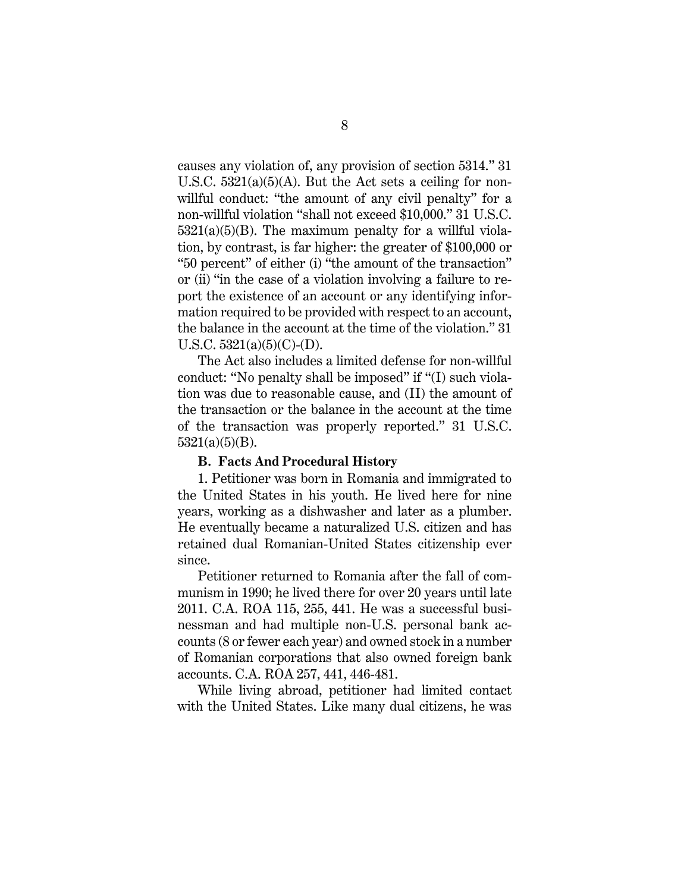causes any violation of, any provision of section 5314." 31 U.S.C.  $5321(a)(5)(A)$ . But the Act sets a ceiling for nonwillful conduct: "the amount of any civil penalty" for a non-willful violation "shall not exceed \$10,000." 31 U.S.C.  $5321(a)(5)(B)$ . The maximum penalty for a willful violation, by contrast, is far higher: the greater of \$100,000 or "50 percent" of either (i) "the amount of the transaction" or (ii) "in the case of a violation involving a failure to report the existence of an account or any identifying information required to be provided with respect to an account, the balance in the account at the time of the violation." 31 U.S.C.  $5321(a)(5)(C)$ -(D).

The Act also includes a limited defense for non-willful conduct: "No penalty shall be imposed" if "(I) such violation was due to reasonable cause, and (II) the amount of the transaction or the balance in the account at the time of the transaction was properly reported." 31 U.S.C.  $5321(a)(5)(B)$ .

#### **B. Facts And Procedural History**

1. Petitioner was born in Romania and immigrated to the United States in his youth. He lived here for nine years, working as a dishwasher and later as a plumber. He eventually became a naturalized U.S. citizen and has retained dual Romanian-United States citizenship ever since.

Petitioner returned to Romania after the fall of communism in 1990; he lived there for over 20 years until late 2011. C.A. ROA 115, 255, 441. He was a successful businessman and had multiple non-U.S. personal bank accounts (8 or fewer each year) and owned stock in a number of Romanian corporations that also owned foreign bank accounts. C.A. ROA 257, 441, 446-481.

While living abroad, petitioner had limited contact with the United States. Like many dual citizens, he was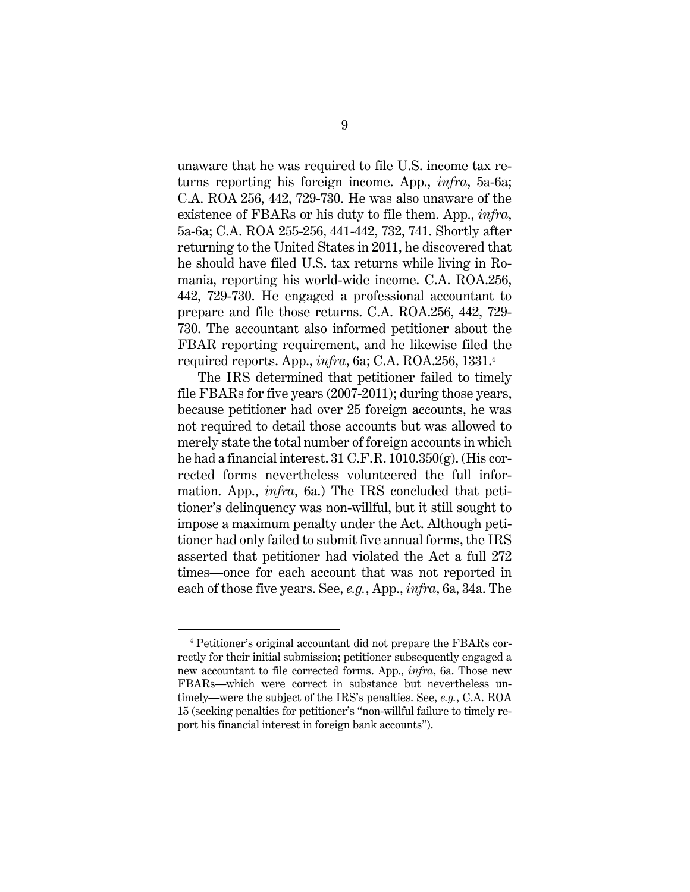unaware that he was required to file U.S. income tax returns reporting his foreign income. App., *infra*, 5a-6a; C.A. ROA 256, 442, 729-730. He was also unaware of the existence of FBARs or his duty to file them. App., *infra*, 5a-6a; C.A. ROA 255-256, 441-442, 732, 741. Shortly after returning to the United States in 2011, he discovered that he should have filed U.S. tax returns while living in Romania, reporting his world-wide income. C.A. ROA.256, 442, 729-730. He engaged a professional accountant to prepare and file those returns. C.A. ROA.256, 442, 729- 730. The accountant also informed petitioner about the FBAR reporting requirement, and he likewise filed the required reports. App., *infra*, 6a; C.A. ROA.256, 1331.4

The IRS determined that petitioner failed to timely file FBARs for five years (2007-2011); during those years, because petitioner had over 25 foreign accounts, he was not required to detail those accounts but was allowed to merely state the total number of foreign accounts in which he had a financial interest. 31 C.F.R. 1010.350(g). (His corrected forms nevertheless volunteered the full information. App., *infra*, 6a.) The IRS concluded that petitioner's delinquency was non-willful, but it still sought to impose a maximum penalty under the Act. Although petitioner had only failed to submit five annual forms, the IRS asserted that petitioner had violated the Act a full 272 times—once for each account that was not reported in each of those five years. See, *e.g.*, App., *infra*, 6a, 34a. The

<sup>4</sup> Petitioner's original accountant did not prepare the FBARs correctly for their initial submission; petitioner subsequently engaged a new accountant to file corrected forms. App., *infra*, 6a. Those new FBARs—which were correct in substance but nevertheless untimely—were the subject of the IRS's penalties. See, *e.g.*, C.A. ROA 15 (seeking penalties for petitioner's "non-willful failure to timely report his financial interest in foreign bank accounts").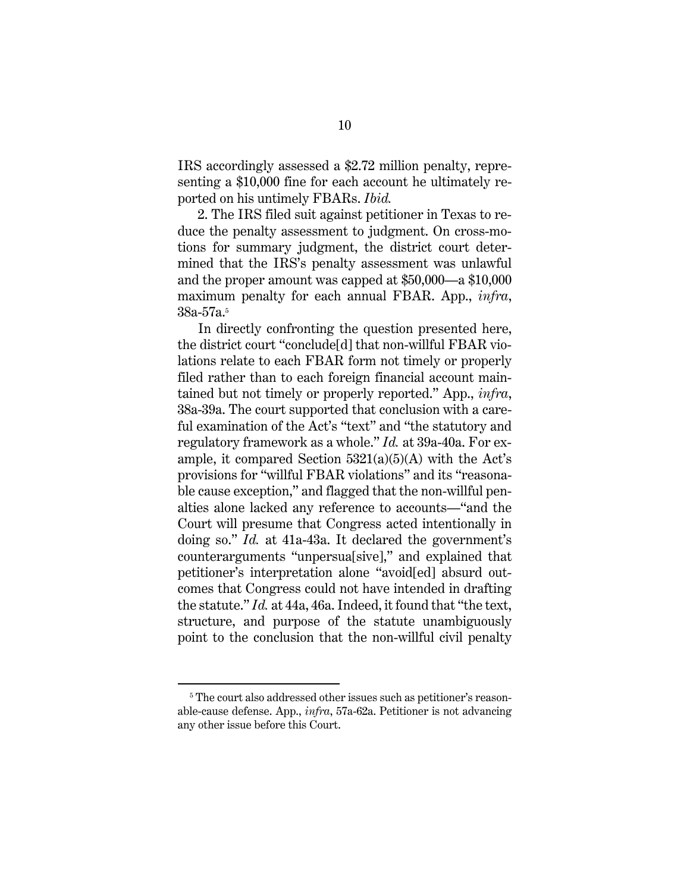IRS accordingly assessed a \$2.72 million penalty, representing a \$10,000 fine for each account he ultimately reported on his untimely FBARs. *Ibid.*

2. The IRS filed suit against petitioner in Texas to reduce the penalty assessment to judgment. On cross-motions for summary judgment, the district court determined that the IRS's penalty assessment was unlawful and the proper amount was capped at \$50,000—a \$10,000 maximum penalty for each annual FBAR. App., *infra*, 38a-57a.5

In directly confronting the question presented here, the district court "conclude[d] that non-willful FBAR violations relate to each FBAR form not timely or properly filed rather than to each foreign financial account maintained but not timely or properly reported." App., *infra*, 38a-39a. The court supported that conclusion with a careful examination of the Act's "text" and "the statutory and regulatory framework as a whole." *Id.* at 39a-40a. For example, it compared Section  $5321(a)(5)(A)$  with the Act's provisions for "willful FBAR violations" and its "reasonable cause exception," and flagged that the non-willful penalties alone lacked any reference to accounts—"and the Court will presume that Congress acted intentionally in doing so." *Id.* at 41a-43a. It declared the government's counterarguments "unpersua[sive]," and explained that petitioner's interpretation alone "avoid[ed] absurd outcomes that Congress could not have intended in drafting the statute." *Id.* at 44a, 46a. Indeed, it found that "the text, structure, and purpose of the statute unambiguously point to the conclusion that the non-willful civil penalty

<sup>&</sup>lt;sup>5</sup> The court also addressed other issues such as petitioner's reasonable-cause defense. App., *infra*, 57a-62a. Petitioner is not advancing any other issue before this Court.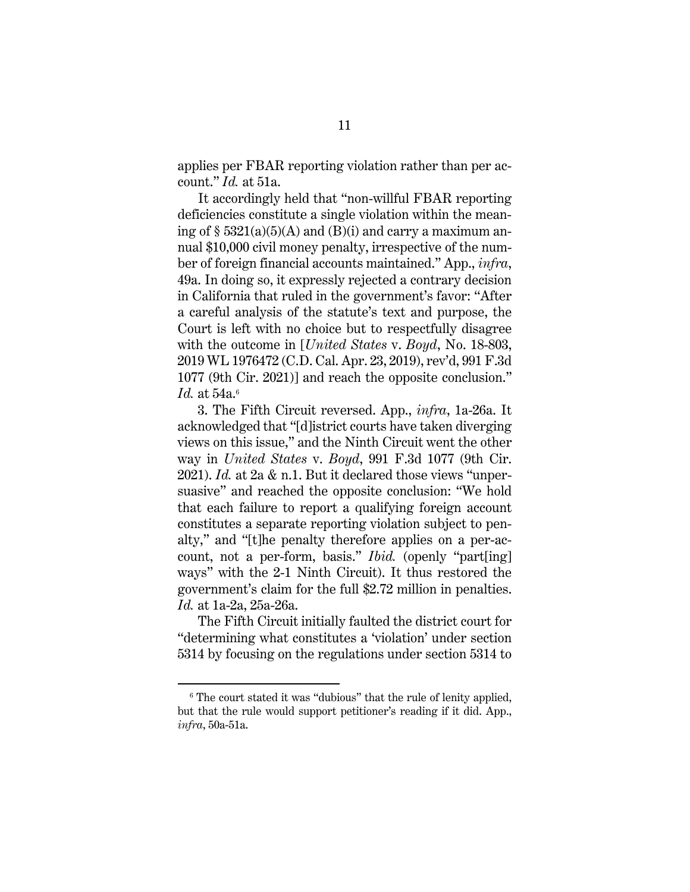applies per FBAR reporting violation rather than per account." *Id.* at 51a.

It accordingly held that "non-willful FBAR reporting deficiencies constitute a single violation within the meaning of  $\S$  5321(a)(5)(A) and (B)(i) and carry a maximum annual \$10,000 civil money penalty, irrespective of the number of foreign financial accounts maintained." App., *infra*, 49a. In doing so, it expressly rejected a contrary decision in California that ruled in the government's favor: "After a careful analysis of the statute's text and purpose, the Court is left with no choice but to respectfully disagree with the outcome in [*United States* v. *Boyd*, No. 18-803, 2019 WL 1976472 (C.D. Cal. Apr. 23, 2019), rev'd, 991 F.3d 1077 (9th Cir. 2021)] and reach the opposite conclusion." *Id.* at 54a.<sup>6</sup>

3. The Fifth Circuit reversed. App., *infra*, 1a-26a. It acknowledged that "[d]istrict courts have taken diverging views on this issue," and the Ninth Circuit went the other way in *United States* v. *Boyd*, 991 F.3d 1077 (9th Cir. 2021). *Id.* at 2a & n.1. But it declared those views "unpersuasive" and reached the opposite conclusion: "We hold that each failure to report a qualifying foreign account constitutes a separate reporting violation subject to penalty," and "[t]he penalty therefore applies on a per-account, not a per-form, basis." *Ibid.* (openly "part[ing] ways" with the 2-1 Ninth Circuit). It thus restored the government's claim for the full \$2.72 million in penalties. *Id.* at 1a-2a, 25a-26a.

The Fifth Circuit initially faulted the district court for "determining what constitutes a 'violation' under section 5314 by focusing on the regulations under section 5314 to

<sup>&</sup>lt;sup>6</sup> The court stated it was "dubious" that the rule of lenity applied, but that the rule would support petitioner's reading if it did. App., *infra*, 50a-51a.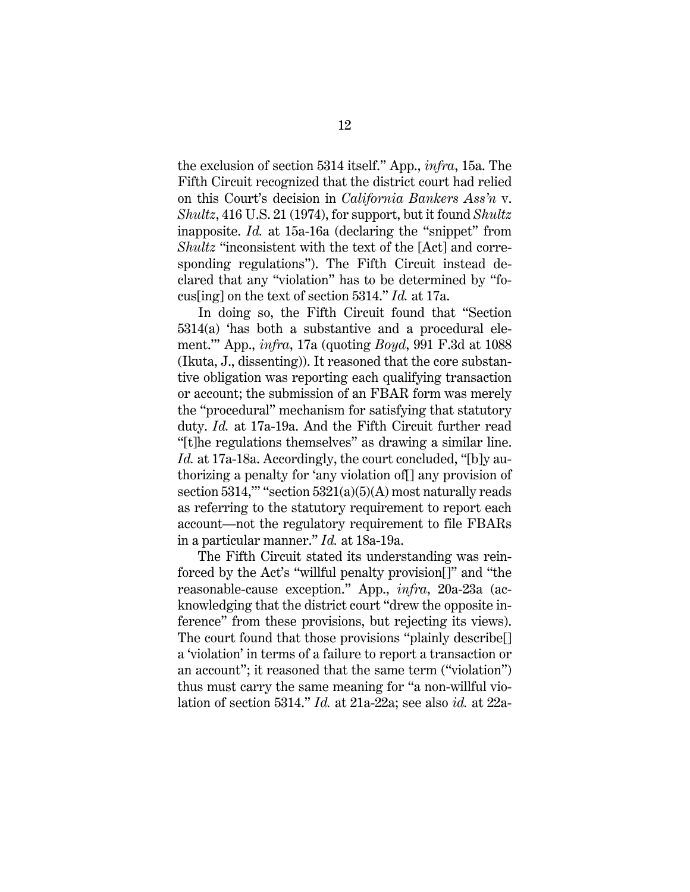the exclusion of section 5314 itself." App., *infra*, 15a. The Fifth Circuit recognized that the district court had relied on this Court's decision in *California Bankers Ass'n* v. *Shultz*, 416 U.S. 21 (1974), for support, but it found *Shultz* inapposite. *Id.* at 15a-16a (declaring the "snippet" from *Shultz* "inconsistent with the text of the [Act] and corresponding regulations"). The Fifth Circuit instead declared that any "violation" has to be determined by "focus[ing] on the text of section 5314." *Id.* at 17a.

In doing so, the Fifth Circuit found that "Section 5314(a) 'has both a substantive and a procedural element.'" App., *infra*, 17a (quoting *Boyd*, 991 F.3d at 1088 (Ikuta, J., dissenting)). It reasoned that the core substantive obligation was reporting each qualifying transaction or account; the submission of an FBAR form was merely the "procedural" mechanism for satisfying that statutory duty. *Id.* at 17a-19a. And the Fifth Circuit further read "[t]he regulations themselves" as drawing a similar line. *Id.* at 17a-18a. Accordingly, the court concluded, "[b]y authorizing a penalty for 'any violation of[] any provision of section  $5314$ ,"" "section  $5321(a)(5)(A)$  most naturally reads as referring to the statutory requirement to report each account—not the regulatory requirement to file FBARs in a particular manner." *Id.* at 18a-19a.

The Fifth Circuit stated its understanding was reinforced by the Act's "willful penalty provision[]" and "the reasonable-cause exception." App., *infra*, 20a-23a (acknowledging that the district court "drew the opposite inference" from these provisions, but rejecting its views). The court found that those provisions "plainly describe[] a 'violation' in terms of a failure to report a transaction or an account"; it reasoned that the same term ("violation") thus must carry the same meaning for "a non-willful violation of section 5314." *Id.* at 21a-22a; see also *id.* at 22a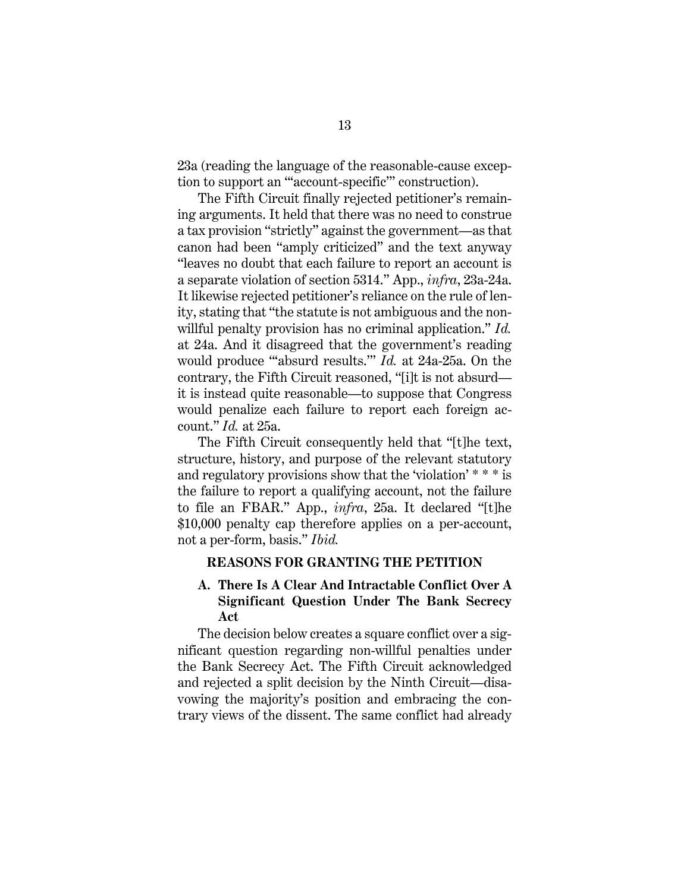23a (reading the language of the reasonable-cause exception to support an "'account-specific'" construction).

The Fifth Circuit finally rejected petitioner's remaining arguments. It held that there was no need to construe a tax provision "strictly" against the government—as that canon had been "amply criticized" and the text anyway "leaves no doubt that each failure to report an account is a separate violation of section 5314." App., *infra*, 23a-24a. It likewise rejected petitioner's reliance on the rule of lenity, stating that "the statute is not ambiguous and the nonwillful penalty provision has no criminal application." *Id.* at 24a. And it disagreed that the government's reading would produce "'absurd results.'" *Id.* at 24a-25a. On the contrary, the Fifth Circuit reasoned, "[i]t is not absurd it is instead quite reasonable—to suppose that Congress would penalize each failure to report each foreign account." *Id.* at 25a.

The Fifth Circuit consequently held that "[t]he text, structure, history, and purpose of the relevant statutory and regulatory provisions show that the 'violation' \* \* \* is the failure to report a qualifying account, not the failure to file an FBAR." App., *infra*, 25a. It declared "[t]he \$10,000 penalty cap therefore applies on a per-account, not a per-form, basis." *Ibid.*

## **REASONS FOR GRANTING THE PETITION**

# **A. There Is A Clear And Intractable Conflict Over A Significant Question Under The Bank Secrecy Act**

The decision below creates a square conflict over a significant question regarding non-willful penalties under the Bank Secrecy Act. The Fifth Circuit acknowledged and rejected a split decision by the Ninth Circuit—disavowing the majority's position and embracing the contrary views of the dissent. The same conflict had already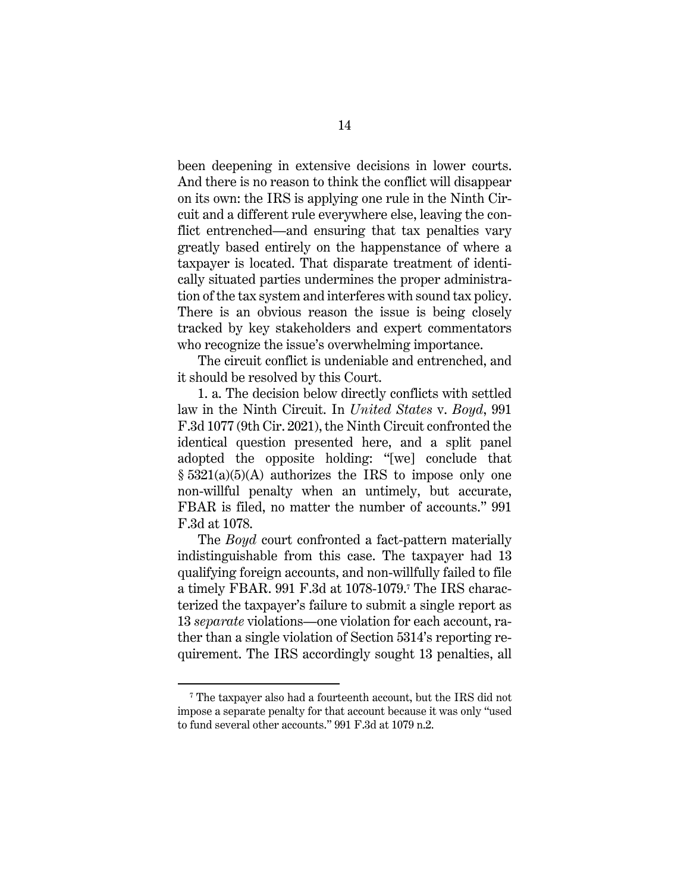been deepening in extensive decisions in lower courts. And there is no reason to think the conflict will disappear on its own: the IRS is applying one rule in the Ninth Circuit and a different rule everywhere else, leaving the conflict entrenched—and ensuring that tax penalties vary greatly based entirely on the happenstance of where a taxpayer is located. That disparate treatment of identically situated parties undermines the proper administration of the tax system and interferes with sound tax policy. There is an obvious reason the issue is being closely tracked by key stakeholders and expert commentators who recognize the issue's overwhelming importance.

The circuit conflict is undeniable and entrenched, and it should be resolved by this Court.

1. a. The decision below directly conflicts with settled law in the Ninth Circuit. In *United States* v. *Boyd*, 991 F.3d 1077 (9th Cir. 2021), the Ninth Circuit confronted the identical question presented here, and a split panel adopted the opposite holding: "[we] conclude that  $\S 5321(a)(5)(A)$  authorizes the IRS to impose only one non-willful penalty when an untimely, but accurate, FBAR is filed, no matter the number of accounts." 991 F.3d at 1078.

The *Boyd* court confronted a fact-pattern materially indistinguishable from this case. The taxpayer had 13 qualifying foreign accounts, and non-willfully failed to file a timely FBAR. 991 F.3d at 1078-1079.7 The IRS characterized the taxpayer's failure to submit a single report as 13 *separate* violations—one violation for each account, rather than a single violation of Section 5314's reporting requirement. The IRS accordingly sought 13 penalties, all

<sup>7</sup> The taxpayer also had a fourteenth account, but the IRS did not impose a separate penalty for that account because it was only "used to fund several other accounts." 991 F.3d at 1079 n.2.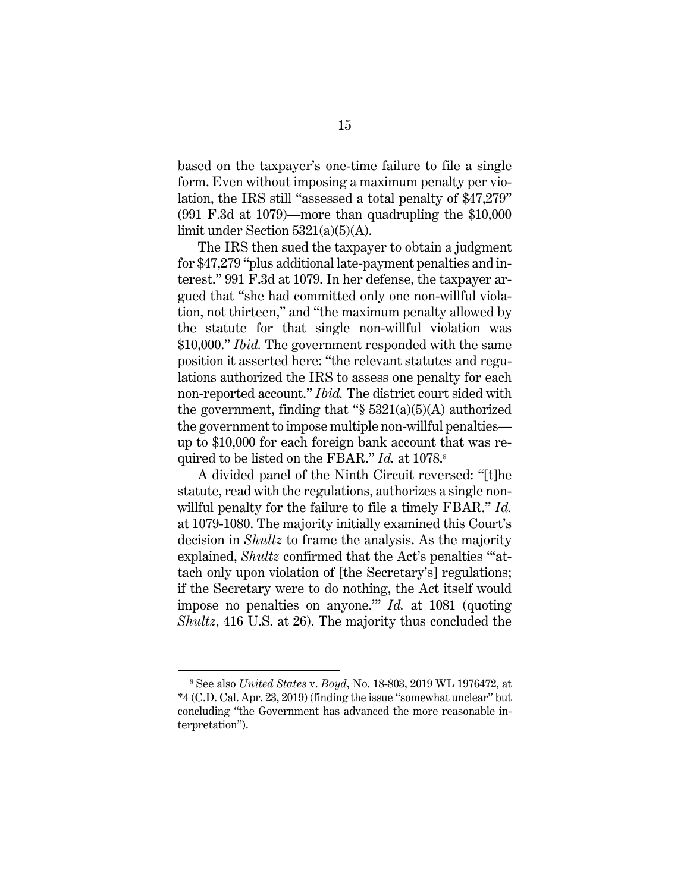based on the taxpayer's one-time failure to file a single form. Even without imposing a maximum penalty per violation, the IRS still "assessed a total penalty of \$47,279" (991 F.3d at 1079)—more than quadrupling the \$10,000 limit under Section 5321(a)(5)(A).

The IRS then sued the taxpayer to obtain a judgment for \$47,279 "plus additional late-payment penalties and interest." 991 F.3d at 1079. In her defense, the taxpayer argued that "she had committed only one non-willful violation, not thirteen," and "the maximum penalty allowed by the statute for that single non-willful violation was \$10,000." *Ibid.* The government responded with the same position it asserted here: "the relevant statutes and regulations authorized the IRS to assess one penalty for each non-reported account." *Ibid.* The district court sided with the government, finding that " $\S 5321(a)(5)(A)$  authorized the government to impose multiple non-willful penalties up to \$10,000 for each foreign bank account that was required to be listed on the FBAR." *Id.* at 1078.<sup>8</sup>

A divided panel of the Ninth Circuit reversed: "[t]he statute, read with the regulations, authorizes a single nonwillful penalty for the failure to file a timely FBAR." *Id.* at 1079-1080. The majority initially examined this Court's decision in *Shultz* to frame the analysis. As the majority explained, *Shultz* confirmed that the Act's penalties ""attach only upon violation of [the Secretary's] regulations; if the Secretary were to do nothing, the Act itself would impose no penalties on anyone.'" *Id.* at 1081 (quoting *Shultz*, 416 U.S. at 26). The majority thus concluded the

<sup>8</sup> See also *United States* v. *Boyd*, No. 18-803, 2019 WL 1976472, at \*4 (C.D. Cal. Apr. 23, 2019) (finding the issue "somewhat unclear" but concluding "the Government has advanced the more reasonable interpretation").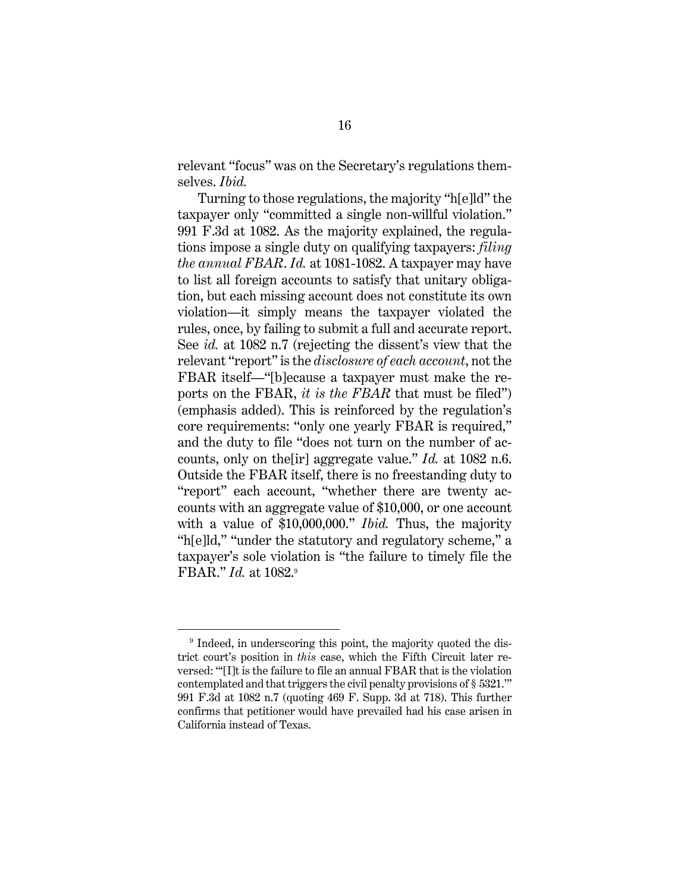relevant "focus" was on the Secretary's regulations themselves. *Ibid.* 

Turning to those regulations, the majority "h[e]ld" the taxpayer only "committed a single non-willful violation." 991 F.3d at 1082. As the majority explained, the regulations impose a single duty on qualifying taxpayers: *filing the annual FBAR*. *Id.* at 1081-1082. A taxpayer may have to list all foreign accounts to satisfy that unitary obligation, but each missing account does not constitute its own violation—it simply means the taxpayer violated the rules, once, by failing to submit a full and accurate report. See *id.* at 1082 n.7 (rejecting the dissent's view that the relevant "report" is the *disclosure of each account*, not the FBAR itself—"[b]ecause a taxpayer must make the reports on the FBAR, *it is the FBAR* that must be filed") (emphasis added). This is reinforced by the regulation's core requirements: "only one yearly FBAR is required," and the duty to file "does not turn on the number of accounts, only on the[ir] aggregate value." *Id.* at 1082 n.6. Outside the FBAR itself, there is no freestanding duty to "report" each account, "whether there are twenty accounts with an aggregate value of \$10,000, or one account with a value of \$10,000,000." *Ibid.* Thus, the majority "h[e]ld," "under the statutory and regulatory scheme," a taxpayer's sole violation is "the failure to timely file the FBAR." *Id.* at 1082.9

<sup>&</sup>lt;sup>9</sup> Indeed, in underscoring this point, the majority quoted the district court's position in *this* case, which the Fifth Circuit later reversed: "'[I]t is the failure to file an annual FBAR that is the violation contemplated and that triggers the civil penalty provisions of § 5321.'" 991 F.3d at 1082 n.7 (quoting 469 F. Supp. 3d at 718). This further confirms that petitioner would have prevailed had his case arisen in California instead of Texas.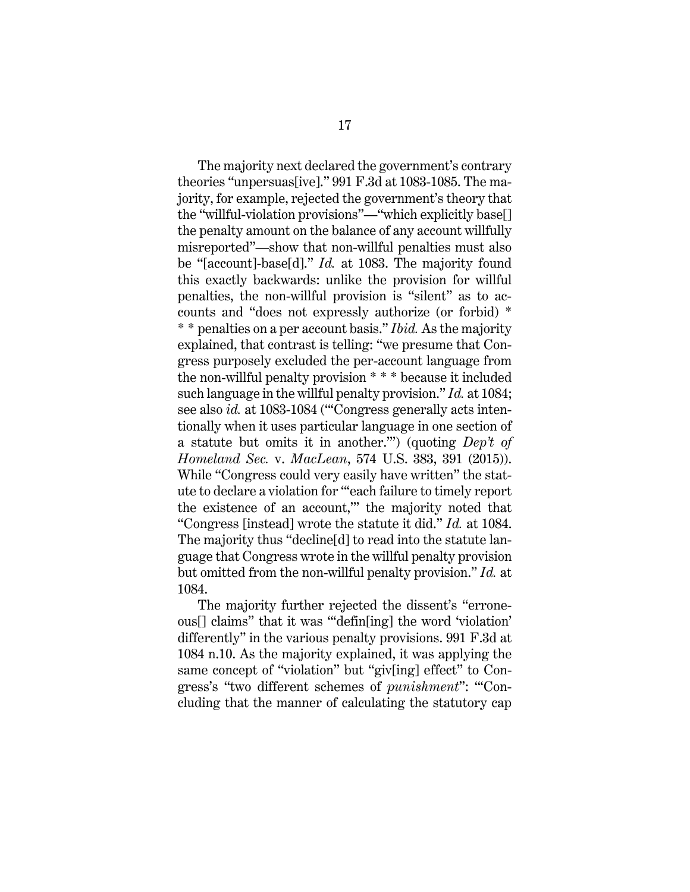The majority next declared the government's contrary theories "unpersuas[ive]." 991 F.3d at 1083-1085. The majority, for example, rejected the government's theory that the "willful-violation provisions"—"which explicitly base[] the penalty amount on the balance of any account willfully misreported"—show that non-willful penalties must also be "[account]-base[d]." *Id.* at 1083. The majority found this exactly backwards: unlike the provision for willful penalties, the non-willful provision is "silent" as to accounts and "does not expressly authorize (or forbid) \* \* \* penalties on a per account basis." *Ibid.* As the majority explained, that contrast is telling: "we presume that Congress purposely excluded the per-account language from the non-willful penalty provision \* \* \* because it included such language in the willful penalty provision." *Id.* at 1084; see also *id.* at 1083-1084 ("'Congress generally acts intentionally when it uses particular language in one section of a statute but omits it in another.'") (quoting *Dep't of Homeland Sec.* v. *MacLean*, 574 U.S. 383, 391 (2015)). While "Congress could very easily have written" the statute to declare a violation for "'each failure to timely report the existence of an account,'" the majority noted that "Congress [instead] wrote the statute it did." *Id.* at 1084. The majority thus "decline[d] to read into the statute language that Congress wrote in the willful penalty provision but omitted from the non-willful penalty provision." *Id.* at 1084.

The majority further rejected the dissent's "erroneous[] claims" that it was "'defin[ing] the word 'violation' differently" in the various penalty provisions. 991 F.3d at 1084 n.10. As the majority explained, it was applying the same concept of "violation" but "giv[ing] effect" to Congress's "two different schemes of *punishment*": "'Concluding that the manner of calculating the statutory cap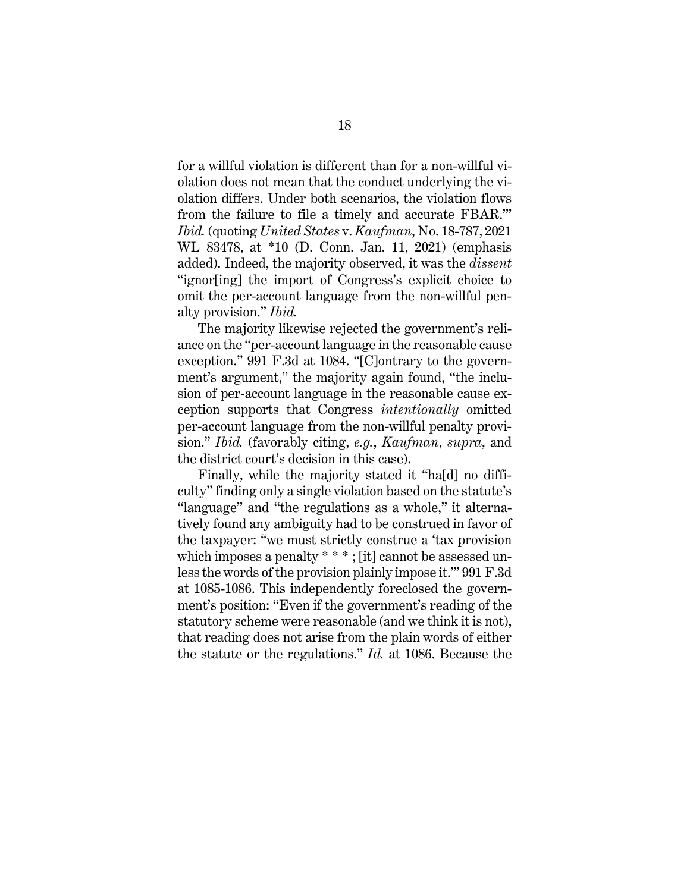for a willful violation is different than for a non-willful violation does not mean that the conduct underlying the violation differs. Under both scenarios, the violation flows from the failure to file a timely and accurate FBAR.'" *Ibid.* (quoting *United States* v. *Kaufman*, No. 18-787, 2021 WL 83478, at \*10 (D. Conn. Jan. 11, 2021) (emphasis added). Indeed, the majority observed, it was the *dissent* "ignor[ing] the import of Congress's explicit choice to omit the per-account language from the non-willful penalty provision." *Ibid.*

The majority likewise rejected the government's reliance on the "per-account language in the reasonable cause exception." 991 F.3d at 1084. "[C]ontrary to the government's argument," the majority again found, "the inclusion of per-account language in the reasonable cause exception supports that Congress *intentionally* omitted per-account language from the non-willful penalty provision." *Ibid.* (favorably citing, *e.g.*, *Kaufman*, *supra*, and the district court's decision in this case).

Finally, while the majority stated it "ha[d] no difficulty" finding only a single violation based on the statute's "language" and "the regulations as a whole," it alternatively found any ambiguity had to be construed in favor of the taxpayer: "we must strictly construe a 'tax provision which imposes a penalty \* \* \*; [it] cannot be assessed unless the words of the provision plainly impose it.'" 991 F.3d at 1085-1086. This independently foreclosed the government's position: "Even if the government's reading of the statutory scheme were reasonable (and we think it is not), that reading does not arise from the plain words of either the statute or the regulations." *Id.* at 1086. Because the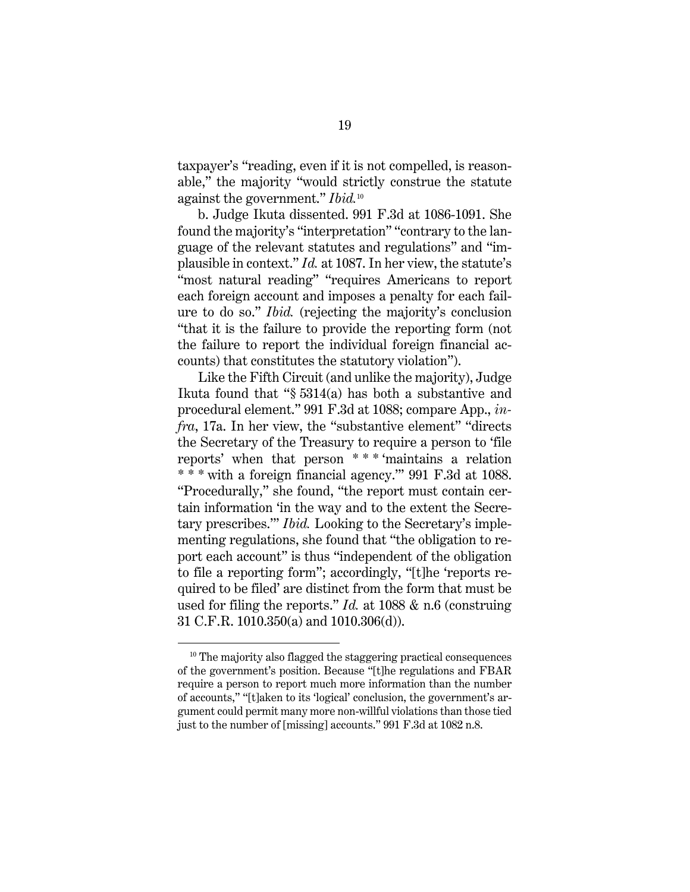taxpayer's "reading, even if it is not compelled, is reasonable," the majority "would strictly construe the statute against the government." *Ibid.*<sup>10</sup>

b. Judge Ikuta dissented. 991 F.3d at 1086-1091. She found the majority's "interpretation" "contrary to the language of the relevant statutes and regulations" and "implausible in context." *Id.* at 1087. In her view, the statute's "most natural reading" "requires Americans to report each foreign account and imposes a penalty for each failure to do so." *Ibid.* (rejecting the majority's conclusion "that it is the failure to provide the reporting form (not the failure to report the individual foreign financial accounts) that constitutes the statutory violation").

Like the Fifth Circuit (and unlike the majority), Judge Ikuta found that "§ 5314(a) has both a substantive and procedural element." 991 F.3d at 1088; compare App., *infra*, 17a. In her view, the "substantive element" "directs the Secretary of the Treasury to require a person to 'file reports' when that person \* \* \* 'maintains a relation \* \* \* with a foreign financial agency.'" 991 F.3d at 1088. "Procedurally," she found, "the report must contain certain information 'in the way and to the extent the Secretary prescribes.'" *Ibid.* Looking to the Secretary's implementing regulations, she found that "the obligation to report each account" is thus "independent of the obligation to file a reporting form"; accordingly, "[t]he 'reports required to be filed' are distinct from the form that must be used for filing the reports." *Id.* at 1088 & n.6 (construing 31 C.F.R. 1010.350(a) and 1010.306(d)).

<sup>&</sup>lt;sup>10</sup> The majority also flagged the staggering practical consequences of the government's position. Because "[t]he regulations and FBAR require a person to report much more information than the number of accounts," "[t]aken to its 'logical' conclusion, the government's argument could permit many more non-willful violations than those tied just to the number of [missing] accounts." 991 F.3d at 1082 n.8.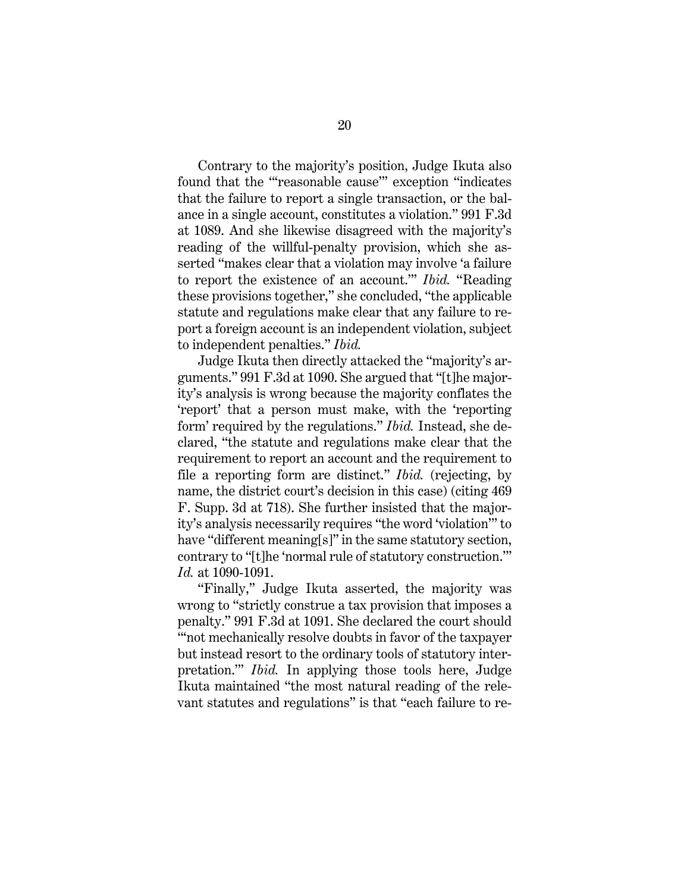Contrary to the majority's position, Judge Ikuta also found that the "'reasonable cause'" exception "indicates that the failure to report a single transaction, or the balance in a single account, constitutes a violation." 991 F.3d at 1089. And she likewise disagreed with the majority's reading of the willful-penalty provision, which she asserted "makes clear that a violation may involve 'a failure to report the existence of an account.'" *Ibid.* "Reading these provisions together," she concluded, "the applicable statute and regulations make clear that any failure to report a foreign account is an independent violation, subject to independent penalties." *Ibid.*

Judge Ikuta then directly attacked the "majority's arguments." 991 F.3d at 1090. She argued that "[t]he majority's analysis is wrong because the majority conflates the 'report' that a person must make, with the 'reporting form' required by the regulations." *Ibid.* Instead, she declared, "the statute and regulations make clear that the requirement to report an account and the requirement to file a reporting form are distinct." *Ibid.* (rejecting, by name, the district court's decision in this case) (citing 469 F. Supp. 3d at 718). She further insisted that the majority's analysis necessarily requires "the word 'violation'" to have "different meaning[s]" in the same statutory section, contrary to "[t]he 'normal rule of statutory construction.'" *Id.* at 1090-1091.

"Finally," Judge Ikuta asserted, the majority was wrong to "strictly construe a tax provision that imposes a penalty." 991 F.3d at 1091. She declared the court should "not mechanically resolve doubts in favor of the taxpayer but instead resort to the ordinary tools of statutory interpretation.'" *Ibid.* In applying those tools here, Judge Ikuta maintained "the most natural reading of the relevant statutes and regulations" is that "each failure to re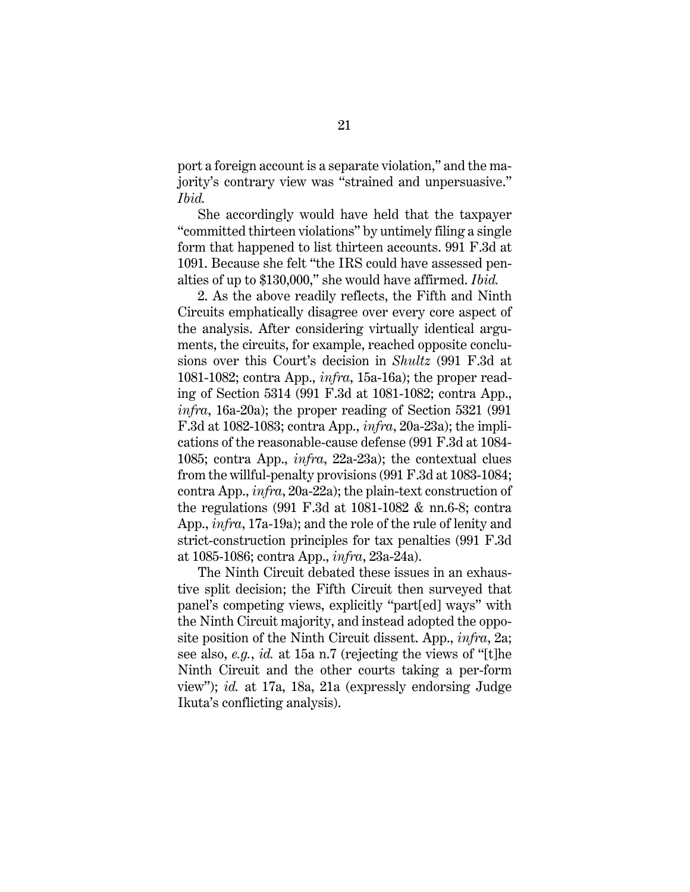port a foreign account is a separate violation," and the majority's contrary view was "strained and unpersuasive." *Ibid.*

She accordingly would have held that the taxpayer "committed thirteen violations" by untimely filing a single form that happened to list thirteen accounts. 991 F.3d at 1091. Because she felt "the IRS could have assessed penalties of up to \$130,000," she would have affirmed. *Ibid.*

2. As the above readily reflects, the Fifth and Ninth Circuits emphatically disagree over every core aspect of the analysis. After considering virtually identical arguments, the circuits, for example, reached opposite conclusions over this Court's decision in *Shultz* (991 F.3d at 1081-1082; contra App., *infra*, 15a-16a); the proper reading of Section 5314 (991 F.3d at 1081-1082; contra App., *infra*, 16a-20a); the proper reading of Section 5321 (991) F.3d at 1082-1083; contra App., *infra*, 20a-23a); the implications of the reasonable-cause defense (991 F.3d at 1084- 1085; contra App., *infra*, 22a-23a); the contextual clues from the willful-penalty provisions (991 F.3d at 1083-1084; contra App., *infra*, 20a-22a); the plain-text construction of the regulations  $(991 \text{ F.3d at } 1081 \text{-} 1082 \text{ \& } \text{nn.6-8}; \text{ contra}$ App., *infra*, 17a-19a); and the role of the rule of lenity and strict-construction principles for tax penalties (991 F.3d at 1085-1086; contra App., *infra*, 23a-24a).

The Ninth Circuit debated these issues in an exhaustive split decision; the Fifth Circuit then surveyed that panel's competing views, explicitly "part[ed] ways" with the Ninth Circuit majority, and instead adopted the opposite position of the Ninth Circuit dissent. App., *infra*, 2a; see also, *e.g.*, *id.* at 15a n.7 (rejecting the views of "[t]he Ninth Circuit and the other courts taking a per-form view"); *id.* at 17a, 18a, 21a (expressly endorsing Judge Ikuta's conflicting analysis).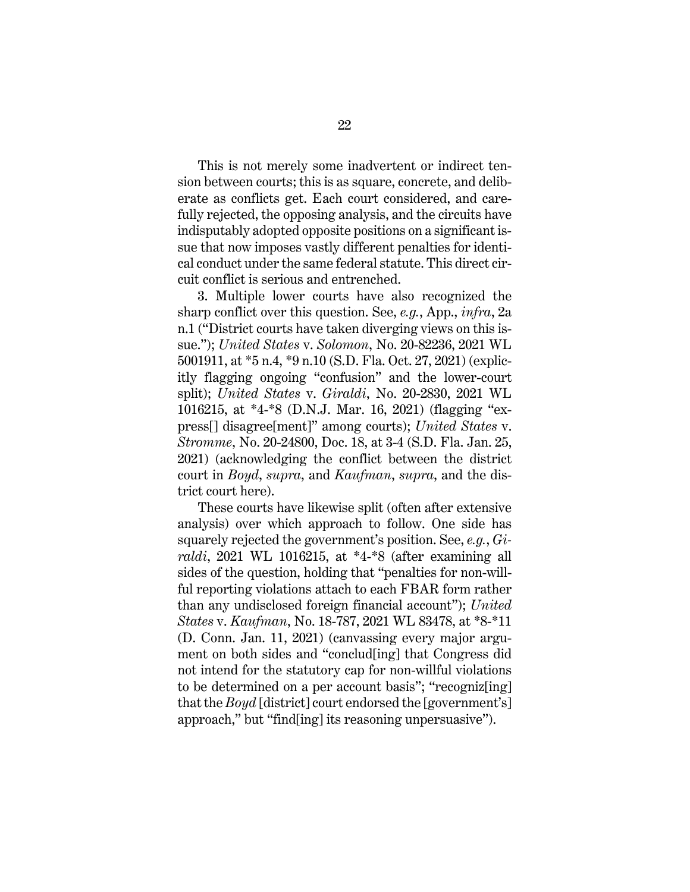This is not merely some inadvertent or indirect tension between courts; this is as square, concrete, and deliberate as conflicts get. Each court considered, and carefully rejected, the opposing analysis, and the circuits have indisputably adopted opposite positions on a significant issue that now imposes vastly different penalties for identical conduct under the same federal statute. This direct circuit conflict is serious and entrenched.

3. Multiple lower courts have also recognized the sharp conflict over this question. See, *e.g.*, App., *infra*, 2a n.1 ("District courts have taken diverging views on this issue."); *United States* v. *Solomon*, No. 20-82236, 2021 WL 5001911, at \*5 n.4, \*9 n.10 (S.D. Fla. Oct. 27, 2021) (explicitly flagging ongoing "confusion" and the lower-court split); *United States* v. *Giraldi*, No. 20-2830, 2021 WL 1016215, at \*4-\*8 (D.N.J. Mar. 16, 2021) (flagging "express[] disagree[ment]" among courts); *United States* v. *Stromme*, No. 20-24800, Doc. 18, at 3-4 (S.D. Fla. Jan. 25, 2021) (acknowledging the conflict between the district court in *Boyd*, *supra*, and *Kaufman*, *supra*, and the district court here).

These courts have likewise split (often after extensive analysis) over which approach to follow. One side has squarely rejected the government's position. See, *e.g.*, *Giraldi*, 2021 WL 1016215, at \*4-\*8 (after examining all sides of the question, holding that "penalties for non-willful reporting violations attach to each FBAR form rather than any undisclosed foreign financial account"); *United States* v. *Kaufman*, No. 18-787, 2021 WL 83478, at \*8-\*11 (D. Conn. Jan. 11, 2021) (canvassing every major argument on both sides and "conclud[ing] that Congress did not intend for the statutory cap for non-willful violations to be determined on a per account basis"; "recogniz[ing] that the *Boyd* [district] court endorsed the [government's] approach," but "find[ing] its reasoning unpersuasive").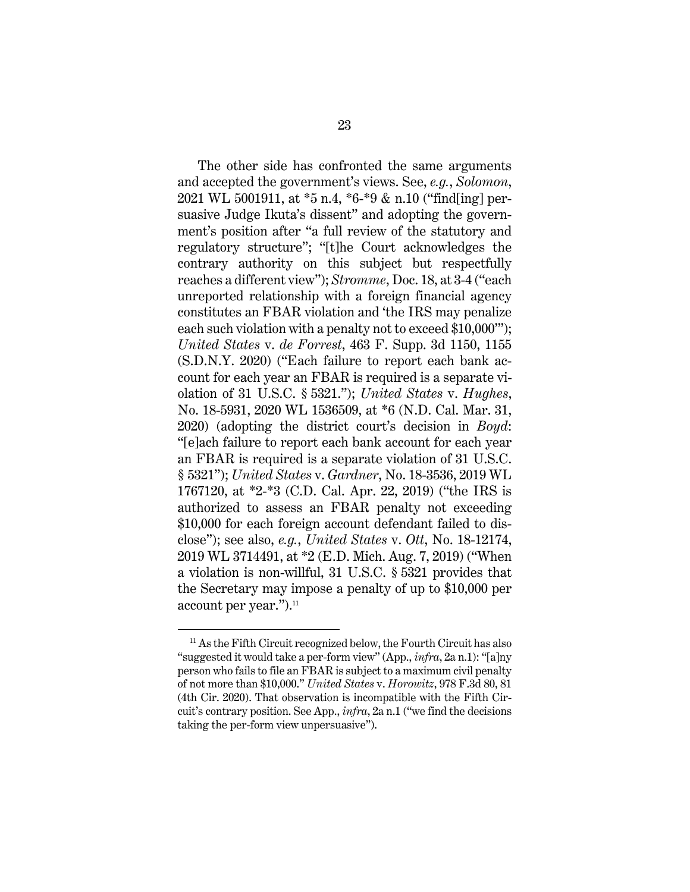The other side has confronted the same arguments and accepted the government's views. See, *e.g.*, *Solomon*, 2021 WL 5001911, at \*5 n.4, \*6-\*9 & n.10 ("find[ing] persuasive Judge Ikuta's dissent" and adopting the government's position after "a full review of the statutory and regulatory structure"; "[t]he Court acknowledges the contrary authority on this subject but respectfully reaches a different view"); *Stromme*, Doc. 18, at 3-4 ("each unreported relationship with a foreign financial agency constitutes an FBAR violation and 'the IRS may penalize each such violation with a penalty not to exceed \$10,000'"); *United States* v. *de Forrest*, 463 F. Supp. 3d 1150, 1155 (S.D.N.Y. 2020) ("Each failure to report each bank account for each year an FBAR is required is a separate violation of 31 U.S.C. § 5321."); *United States* v. *Hughes*, No. 18-5931, 2020 WL 1536509, at \*6 (N.D. Cal. Mar. 31, 2020) (adopting the district court's decision in *Boyd*: "[e]ach failure to report each bank account for each year an FBAR is required is a separate violation of 31 U.S.C. § 5321"); *United States* v. *Gardner*, No. 18-3536, 2019 WL 1767120, at \*2-\*3 (C.D. Cal. Apr. 22, 2019) ("the IRS is authorized to assess an FBAR penalty not exceeding \$10,000 for each foreign account defendant failed to disclose"); see also, *e.g.*, *United States* v. *Ott*, No. 18-12174, 2019 WL 3714491, at \*2 (E.D. Mich. Aug. 7, 2019) ("When a violation is non-willful, 31 U.S.C. § 5321 provides that the Secretary may impose a penalty of up to \$10,000 per account per year.").<sup>11</sup>

<sup>&</sup>lt;sup>11</sup> As the Fifth Circuit recognized below, the Fourth Circuit has also "suggested it would take a per-form view" (App., *infra*, 2a n.1): "[a]ny person who fails to file an FBAR is subject to a maximum civil penalty of not more than \$10,000." *United States* v. *Horowitz*, 978 F.3d 80, 81 (4th Cir. 2020). That observation is incompatible with the Fifth Circuit's contrary position. See App., *infra*, 2a n.1 ("we find the decisions taking the per-form view unpersuasive").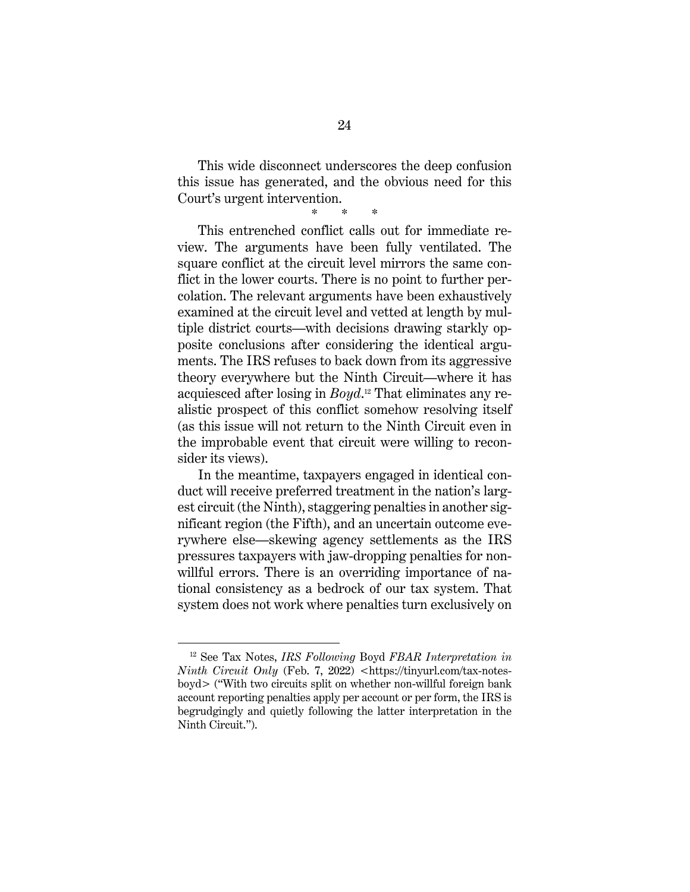This wide disconnect underscores the deep confusion this issue has generated, and the obvious need for this Court's urgent intervention.

\* \* \*

This entrenched conflict calls out for immediate review. The arguments have been fully ventilated. The square conflict at the circuit level mirrors the same conflict in the lower courts. There is no point to further percolation. The relevant arguments have been exhaustively examined at the circuit level and vetted at length by multiple district courts—with decisions drawing starkly opposite conclusions after considering the identical arguments. The IRS refuses to back down from its aggressive theory everywhere but the Ninth Circuit—where it has acquiesced after losing in *Boyd*. 12 That eliminates any realistic prospect of this conflict somehow resolving itself (as this issue will not return to the Ninth Circuit even in the improbable event that circuit were willing to reconsider its views).

In the meantime, taxpayers engaged in identical conduct will receive preferred treatment in the nation's largest circuit (the Ninth), staggering penalties in another significant region (the Fifth), and an uncertain outcome everywhere else—skewing agency settlements as the IRS pressures taxpayers with jaw-dropping penalties for nonwillful errors. There is an overriding importance of national consistency as a bedrock of our tax system. That system does not work where penalties turn exclusively on

<sup>12</sup> See Tax Notes, *IRS Following* Boyd *FBAR Interpretation in Ninth Circuit Only* (Feb. 7, 2022) <https://tinyurl.com/tax-notesboyd> ("With two circuits split on whether non-willful foreign bank account reporting penalties apply per account or per form, the IRS is begrudgingly and quietly following the latter interpretation in the Ninth Circuit.").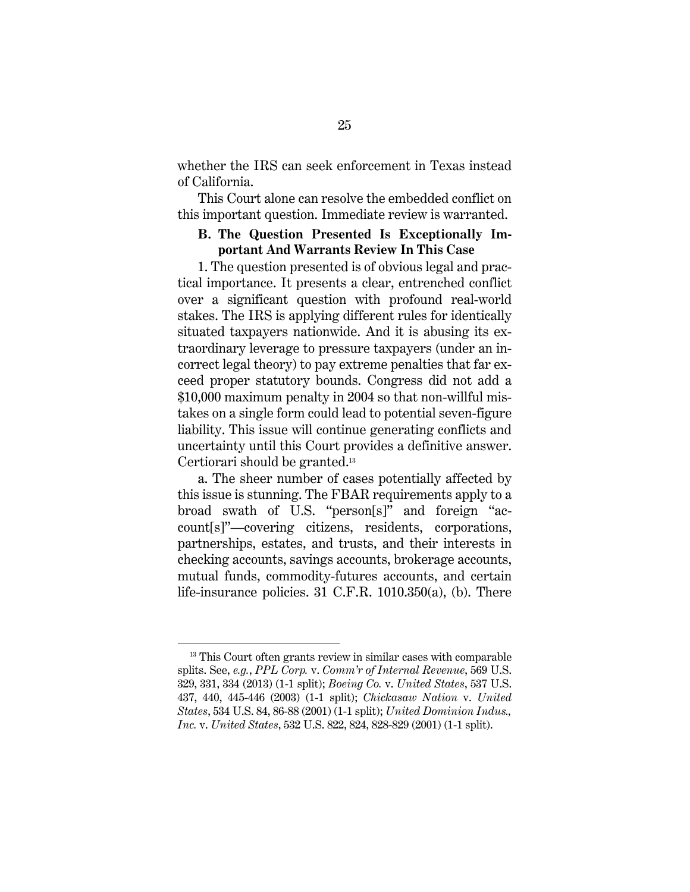whether the IRS can seek enforcement in Texas instead of California.

This Court alone can resolve the embedded conflict on this important question. Immediate review is warranted.

## **B. The Question Presented Is Exceptionally Important And Warrants Review In This Case**

1. The question presented is of obvious legal and practical importance. It presents a clear, entrenched conflict over a significant question with profound real-world stakes. The IRS is applying different rules for identically situated taxpayers nationwide. And it is abusing its extraordinary leverage to pressure taxpayers (under an incorrect legal theory) to pay extreme penalties that far exceed proper statutory bounds. Congress did not add a \$10,000 maximum penalty in 2004 so that non-willful mistakes on a single form could lead to potential seven-figure liability. This issue will continue generating conflicts and uncertainty until this Court provides a definitive answer. Certiorari should be granted.13

a. The sheer number of cases potentially affected by this issue is stunning. The FBAR requirements apply to a broad swath of U.S. "person[s]" and foreign "account[s]"—covering citizens, residents, corporations, partnerships, estates, and trusts, and their interests in checking accounts, savings accounts, brokerage accounts, mutual funds, commodity-futures accounts, and certain life-insurance policies. 31 C.F.R. 1010.350(a), (b). There

<sup>&</sup>lt;sup>13</sup> This Court often grants review in similar cases with comparable splits. See, *e.g.*, *PPL Corp.* v. *Comm'r of Internal Revenue*, 569 U.S. 329, 331, 334 (2013) (1-1 split); *Boeing Co.* v. *United States*, 537 U.S. 437, 440, 445-446 (2003) (1-1 split); *Chickasaw Nation* v. *United States*, 534 U.S. 84, 86-88 (2001) (1-1 split); *United Dominion Indus., Inc.* v. *United States*, 532 U.S. 822, 824, 828-829 (2001) (1-1 split).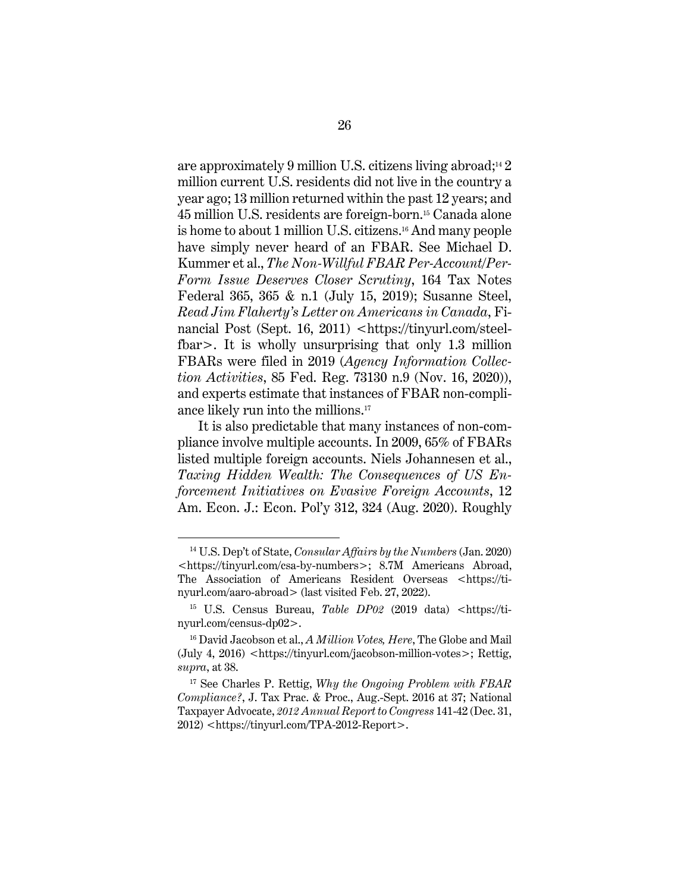are approximately 9 million U.S. citizens living abroad;<sup>14</sup> 2 million current U.S. residents did not live in the country a year ago; 13 million returned within the past 12 years; and 45 million U.S. residents are foreign-born.15 Canada alone is home to about 1 million U.S. citizens.16 And many people have simply never heard of an FBAR. See Michael D. Kummer et al., *The Non-Willful FBAR Per-Account/Per-Form Issue Deserves Closer Scrutiny*, 164 Tax Notes Federal 365, 365 & n.1 (July 15, 2019); Susanne Steel, *Read Jim Flaherty's Letter on Americans in Canada*, Financial Post (Sept. 16, 2011) <https://tinyurl.com/steelfbar>. It is wholly unsurprising that only 1.3 million FBARs were filed in 2019 (*Agency Information Collection Activities*, 85 Fed. Reg. 73130 n.9 (Nov. 16, 2020)), and experts estimate that instances of FBAR non-compliance likely run into the millions.17

It is also predictable that many instances of non-compliance involve multiple accounts. In 2009, 65% of FBARs listed multiple foreign accounts. Niels Johannesen et al., *Taxing Hidden Wealth: The Consequences of US Enforcement Initiatives on Evasive Foreign Accounts*, 12 Am. Econ. J.: Econ. Pol'y 312, 324 (Aug. 2020). Roughly

<sup>14</sup> U.S. Dep't of State, *Consular Affairs by the Numbers* (Jan. 2020) <https://tinyurl.com/csa-by-numbers>; 8.7M Americans Abroad, The Association of Americans Resident Overseas <https://tinyurl.com/aaro-abroad> (last visited Feb. 27, 2022).

<sup>&</sup>lt;sup>15</sup> U.S. Census Bureau, *Table DP02* (2019 data) <https://tinyurl.com/census-dp02>.

<sup>16</sup> David Jacobson et al., *A Million Votes, Here*, The Globe and Mail (July 4, 2016) <https://tinyurl.com/jacobson-million-votes>; Rettig, *supra*, at 38.

<sup>17</sup> See Charles P. Rettig, *Why the Ongoing Problem with FBAR Compliance?*, J. Tax Prac. & Proc., Aug.-Sept. 2016 at 37; National Taxpayer Advocate, *2012 Annual Report to Congress* 141-42 (Dec. 31, 2012) <https://tinyurl.com/TPA-2012-Report>.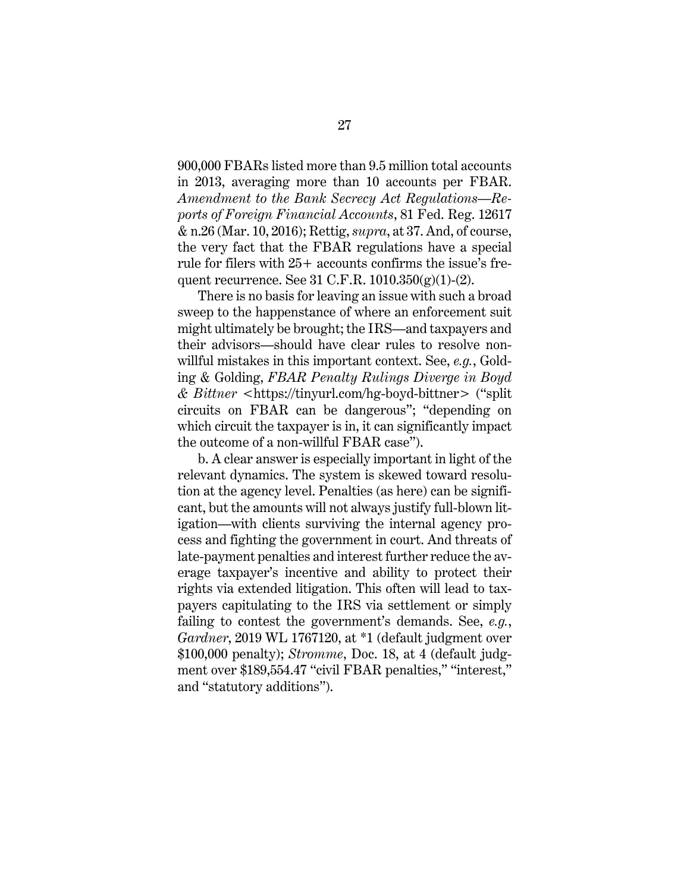900,000 FBARs listed more than 9.5 million total accounts in 2013, averaging more than 10 accounts per FBAR. *Amendment to the Bank Secrecy Act Regulations—Reports of Foreign Financial Accounts*, 81 Fed. Reg. 12617 & n.26 (Mar. 10, 2016); Rettig, *supra*, at 37. And, of course, the very fact that the FBAR regulations have a special rule for filers with 25+ accounts confirms the issue's frequent recurrence. See 31 C.F.R. 1010.350(g)(1)-(2).

There is no basis for leaving an issue with such a broad sweep to the happenstance of where an enforcement suit might ultimately be brought; the IRS—and taxpayers and their advisors—should have clear rules to resolve nonwillful mistakes in this important context. See, *e.g.*, Golding & Golding, *FBAR Penalty Rulings Diverge in Boyd & Bittner* <https://tinyurl.com/hg-boyd-bittner> ("split circuits on FBAR can be dangerous"; "depending on which circuit the taxpayer is in, it can significantly impact the outcome of a non-willful FBAR case").

b. A clear answer is especially important in light of the relevant dynamics. The system is skewed toward resolution at the agency level. Penalties (as here) can be significant, but the amounts will not always justify full-blown litigation—with clients surviving the internal agency process and fighting the government in court. And threats of late-payment penalties and interest further reduce the average taxpayer's incentive and ability to protect their rights via extended litigation. This often will lead to taxpayers capitulating to the IRS via settlement or simply failing to contest the government's demands. See, *e.g.*, *Gardner*, 2019 WL 1767120, at \*1 (default judgment over \$100,000 penalty); *Stromme*, Doc. 18, at 4 (default judgment over \$189,554.47 "civil FBAR penalties," "interest," and "statutory additions").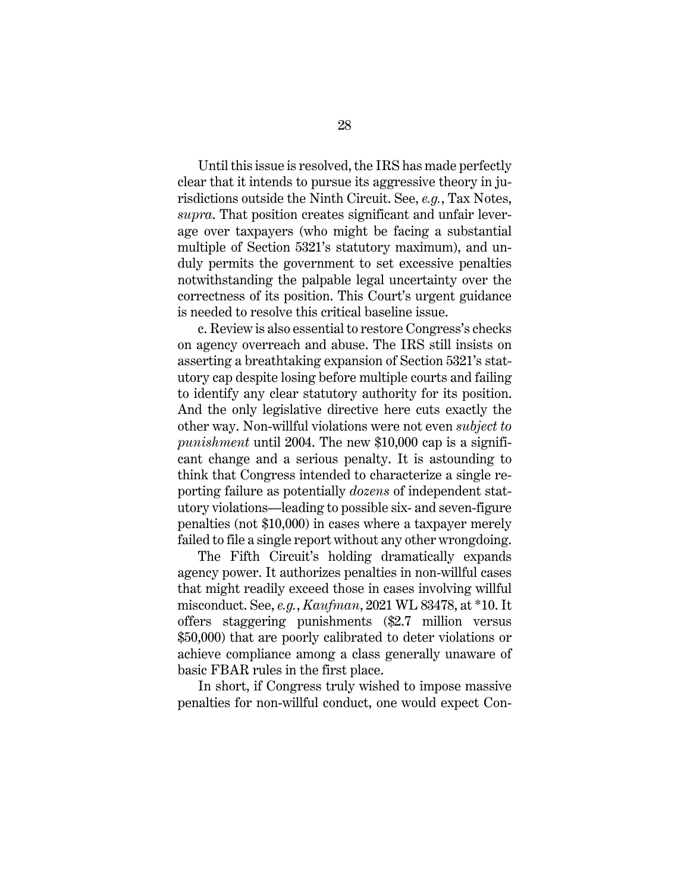Until this issue is resolved, the IRS has made perfectly clear that it intends to pursue its aggressive theory in jurisdictions outside the Ninth Circuit. See, *e.g.*, Tax Notes, *supra*. That position creates significant and unfair leverage over taxpayers (who might be facing a substantial multiple of Section 5321's statutory maximum), and unduly permits the government to set excessive penalties notwithstanding the palpable legal uncertainty over the correctness of its position. This Court's urgent guidance is needed to resolve this critical baseline issue.

c. Review is also essential to restore Congress's checks on agency overreach and abuse. The IRS still insists on asserting a breathtaking expansion of Section 5321's statutory cap despite losing before multiple courts and failing to identify any clear statutory authority for its position. And the only legislative directive here cuts exactly the other way. Non-willful violations were not even *subject to punishment* until 2004. The new \$10,000 cap is a significant change and a serious penalty. It is astounding to think that Congress intended to characterize a single reporting failure as potentially *dozens* of independent statutory violations—leading to possible six- and seven-figure penalties (not \$10,000) in cases where a taxpayer merely failed to file a single report without any other wrongdoing.

The Fifth Circuit's holding dramatically expands agency power. It authorizes penalties in non-willful cases that might readily exceed those in cases involving willful misconduct. See, *e.g.*, *Kaufman*, 2021 WL 83478, at \*10. It offers staggering punishments (\$2.7 million versus \$50,000) that are poorly calibrated to deter violations or achieve compliance among a class generally unaware of basic FBAR rules in the first place.

In short, if Congress truly wished to impose massive penalties for non-willful conduct, one would expect Con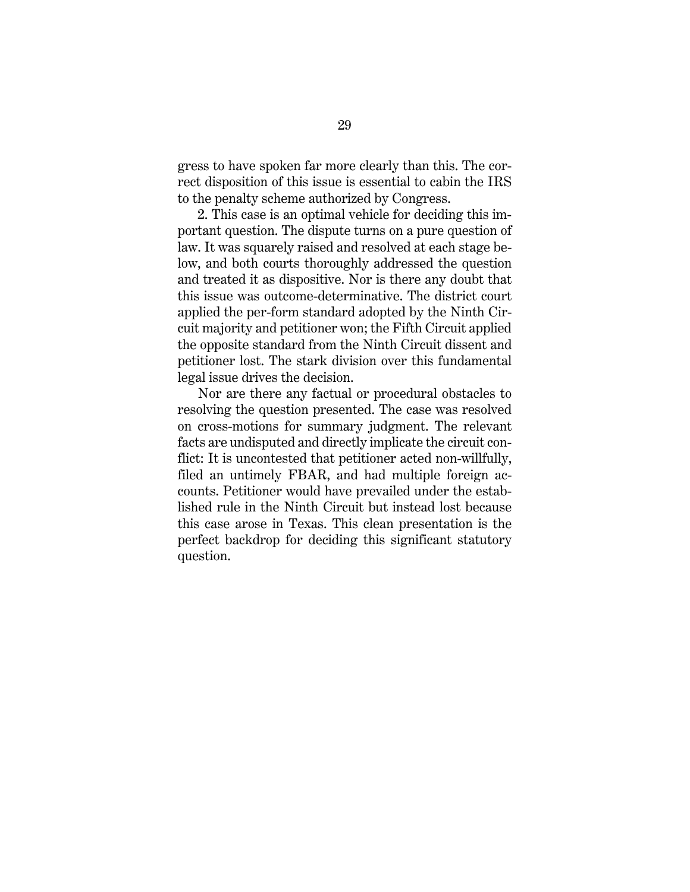gress to have spoken far more clearly than this. The correct disposition of this issue is essential to cabin the IRS to the penalty scheme authorized by Congress.

2. This case is an optimal vehicle for deciding this important question. The dispute turns on a pure question of law. It was squarely raised and resolved at each stage below, and both courts thoroughly addressed the question and treated it as dispositive. Nor is there any doubt that this issue was outcome-determinative. The district court applied the per-form standard adopted by the Ninth Circuit majority and petitioner won; the Fifth Circuit applied the opposite standard from the Ninth Circuit dissent and petitioner lost. The stark division over this fundamental legal issue drives the decision.

Nor are there any factual or procedural obstacles to resolving the question presented. The case was resolved on cross-motions for summary judgment. The relevant facts are undisputed and directly implicate the circuit conflict: It is uncontested that petitioner acted non-willfully, filed an untimely FBAR, and had multiple foreign accounts. Petitioner would have prevailed under the established rule in the Ninth Circuit but instead lost because this case arose in Texas. This clean presentation is the perfect backdrop for deciding this significant statutory question.